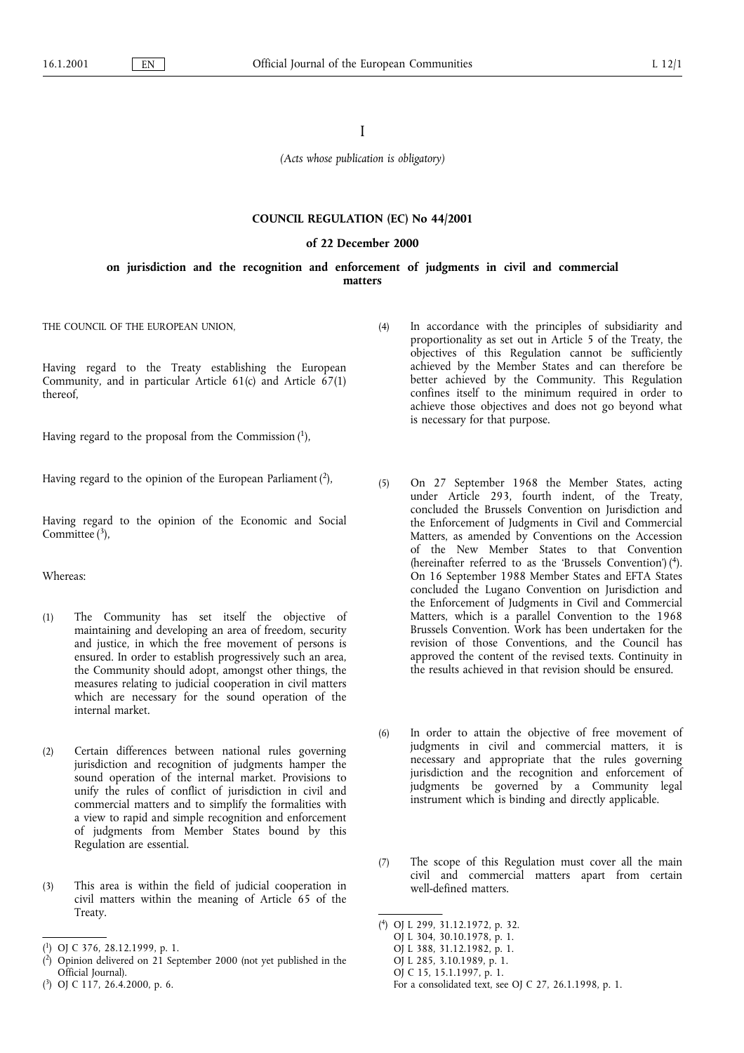I

(Acts whose publication is obligatory)

# COUNCIL REGULATION (EC) No 44/2001

## of 22 December 2000

on jurisdiction and the recognition and enforcement of judgments in civil and commercial matters

THE COUNCIL OF THE EUROPEAN UNION,

Having regard to the Treaty establishing the European Community, and in particular Article 61(c) and Article 67(1) thereof,

Having regard to the proposal from the Commission  $(1)$ ,

Having regard to the opinion of the European Parliament  $(2)$ ,

Having regard to the opinion of the Economic and Social Committee  $(3)$ ,

Whereas:

- (1) The Community has set itself the objective of maintaining and developing an area of freedom, security and justice, in which the free movement of persons is ensured. In order to establish progressively such an area, the Community should adopt, amongst other things, the measures relating to judicial cooperation in civil matters which are necessary for the sound operation of the internal market.
- (2) Certain differences between national rules governing jurisdiction and recognition of judgments hamper the sound operation of the internal market. Provisions to unify the rules of conflict of jurisdiction in civil and commercial matters and to simplify the formalities with a view to rapid and simple recognition and enforcement of judgments from Member States bound by this Regulation are essential.
- (3) This area is within the field of judicial cooperation in civil matters within the meaning of Article 65 of the Treaty.

( 3) OJ C 117, 26.4.2000, p. 6.

- (4) In accordance with the principles of subsidiarity and proportionality as set out in Article 5 of the Treaty, the objectives of this Regulation cannot be sufficiently achieved by the Member States and can therefore be better achieved by the Community. This Regulation confines itself to the minimum required in order to achieve those objectives and does not go beyond what is necessary for that purpose.
- (5) On 27 September 1968 the Member States, acting under Article 293, fourth indent, of the Treaty, concluded the Brussels Convention on Jurisdiction and the Enforcement of Judgments in Civil and Commercial Matters, as amended by Conventions on the Accession of the New Member States to that Convention (hereinafter referred to as the 'Brussels Convention')  $(4)$ . On 16 September 1988 Member States and EFTA States concluded the Lugano Convention on Jurisdiction and the Enforcement of Judgments in Civil and Commercial Matters, which is a parallel Convention to the 1968 Brussels Convention. Work has been undertaken for the revision of those Conventions, and the Council has approved the content of the revised texts. Continuity in the results achieved in that revision should be ensured.
- (6) In order to attain the objective of free movement of judgments in civil and commercial matters, it is necessary and appropriate that the rules governing jurisdiction and the recognition and enforcement of judgments be governed by a Community legal instrument which is binding and directly applicable.
- (7) The scope of this Regulation must cover all the main civil and commercial matters apart from certain well-defined matters.

<sup>(</sup> 1) OJ C 376, 28.12.1999, p. 1.

<sup>(</sup> 2) Opinion delivered on 21 September 2000 (not yet published in the Official Journal).

<sup>(</sup> 4) OJ L 299, 31.12.1972, p. 32.

OJ L 304, 30.10.1978, p. 1.

OJ L 388, 31.12.1982, p. 1.

OJ L 285, 3.10.1989, p. 1. OJ C 15, 15.1.1997, p. 1.

For a consolidated text, see OJ C 27, 26.1.1998, p. 1.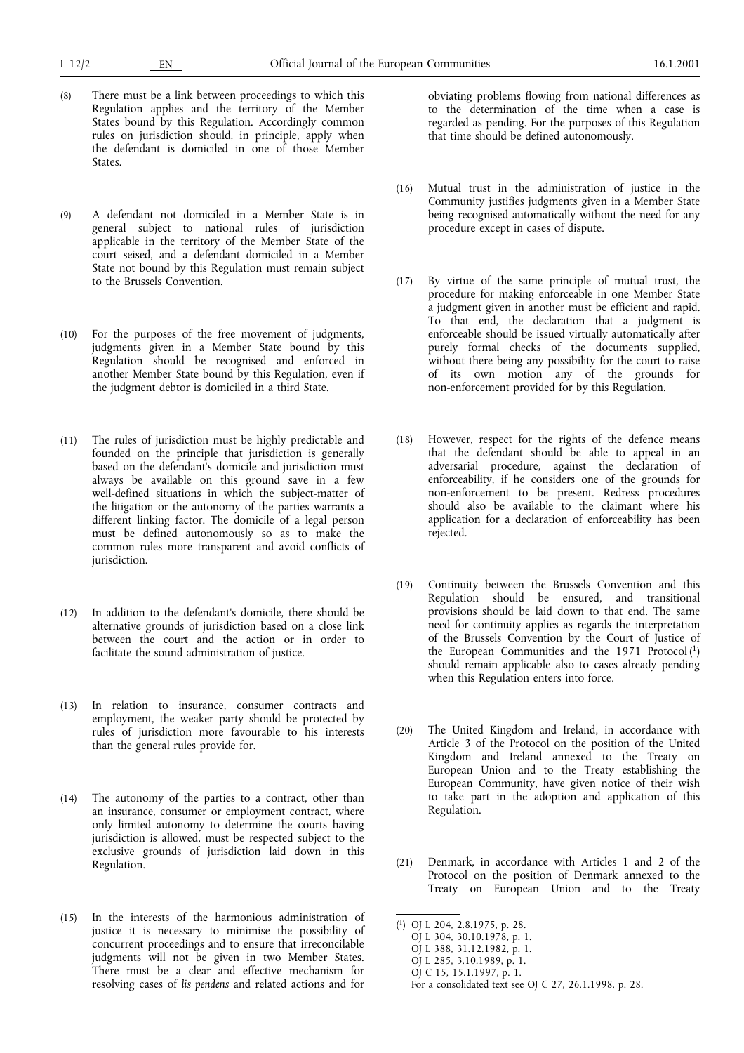- (8) There must be a link between proceedings to which this Regulation applies and the territory of the Member States bound by this Regulation. Accordingly common rules on jurisdiction should, in principle, apply when the defendant is domiciled in one of those Member States.
- (9) A defendant not domiciled in a Member State is in general subject to national rules of jurisdiction applicable in the territory of the Member State of the court seised, and a defendant domiciled in a Member State not bound by this Regulation must remain subject to the Brussels Convention.
- (10) For the purposes of the free movement of judgments, judgments given in a Member State bound by this Regulation should be recognised and enforced in another Member State bound by this Regulation, even if the judgment debtor is domiciled in a third State.
- (11) The rules of jurisdiction must be highly predictable and founded on the principle that jurisdiction is generally based on the defendant's domicile and jurisdiction must always be available on this ground save in a few well-defined situations in which the subject-matter of the litigation or the autonomy of the parties warrants a different linking factor. The domicile of a legal person must be defined autonomously so as to make the common rules more transparent and avoid conflicts of jurisdiction.
- (12) In addition to the defendant's domicile, there should be alternative grounds of jurisdiction based on a close link between the court and the action or in order to facilitate the sound administration of justice.
- (13) In relation to insurance, consumer contracts and employment, the weaker party should be protected by rules of jurisdiction more favourable to his interests than the general rules provide for.
- (14) The autonomy of the parties to a contract, other than an insurance, consumer or employment contract, where only limited autonomy to determine the courts having jurisdiction is allowed, must be respected subject to the exclusive grounds of jurisdiction laid down in this Regulation.
- (15) In the interests of the harmonious administration of justice it is necessary to minimise the possibility of concurrent proceedings and to ensure that irreconcilable judgments will not be given in two Member States. There must be a clear and effective mechanism for resolving cases of lis pendens and related actions and for

obviating problems flowing from national differences as to the determination of the time when a case is regarded as pending. For the purposes of this Regulation that time should be defined autonomously.

- (16) Mutual trust in the administration of justice in the Community justifies judgments given in a Member State being recognised automatically without the need for any procedure except in cases of dispute.
- (17) By virtue of the same principle of mutual trust, the procedure for making enforceable in one Member State a judgment given in another must be efficient and rapid. To that end, the declaration that a judgment is enforceable should be issued virtually automatically after purely formal checks of the documents supplied, without there being any possibility for the court to raise of its own motion any of the grounds for non-enforcement provided for by this Regulation.
- (18) However, respect for the rights of the defence means that the defendant should be able to appeal in an adversarial procedure, against the declaration of enforceability, if he considers one of the grounds for non-enforcement to be present. Redress procedures should also be available to the claimant where his application for a declaration of enforceability has been rejected.
- (19) Continuity between the Brussels Convention and this Regulation should be ensured, and transitional provisions should be laid down to that end. The same need for continuity applies as regards the interpretation of the Brussels Convention by the Court of Justice of the European Communities and the 1971 Protocol<sup>(1)</sup> should remain applicable also to cases already pending when this Regulation enters into force.
- (20) The United Kingdom and Ireland, in accordance with Article 3 of the Protocol on the position of the United Kingdom and Ireland annexed to the Treaty on European Union and to the Treaty establishing the European Community, have given notice of their wish to take part in the adoption and application of this Regulation.
- (21) Denmark, in accordance with Articles 1 and 2 of the Protocol on the position of Denmark annexed to the Treaty on European Union and to the Treaty

OJ L 304, 30.10.1978, p. 1.

OJ L 285, 3.10.1989, p. 1. OJ C 15, 15.1.1997, p. 1.

<sup>(</sup> 1) OJ L 204, 2.8.1975, p. 28.

OJ L 388, 31.12.1982, p. 1.

For a consolidated text see OJ C 27, 26.1.1998, p. 28.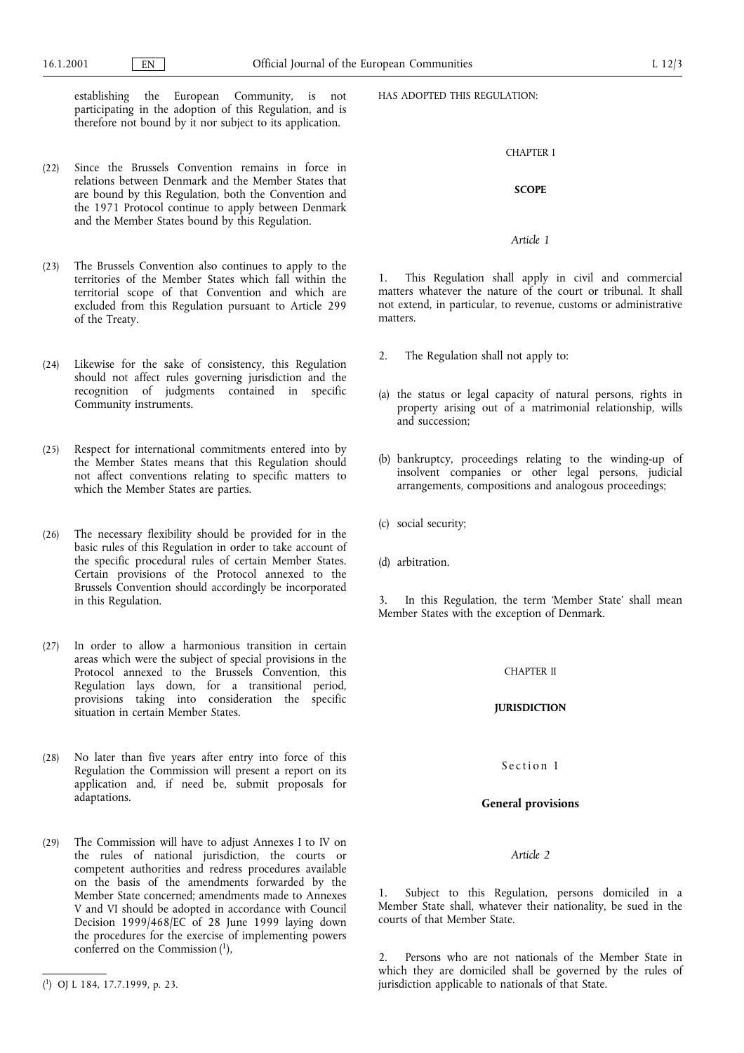establishing the European Community, is not participating in the adoption of this Regulation, and is therefore not bound by it nor subject to its application.

- (22) Since the Brussels Convention remains in force in relations between Denmark and the Member States that are bound by this Regulation, both the Convention and the 1971 Protocol continue to apply between Denmark and the Member States bound by this Regulation.
- (23) The Brussels Convention also continues to apply to the territories of the Member States which fall within the territorial scope of that Convention and which are excluded from this Regulation pursuant to Article 299 of the Treaty.
- (24) Likewise for the sake of consistency, this Regulation should not affect rules governing jurisdiction and the recognition of judgments contained in specific Community instruments.
- (25) Respect for international commitments entered into by the Member States means that this Regulation should not affect conventions relating to specific matters to which the Member States are parties.
- (26) The necessary flexibility should be provided for in the basic rules of this Regulation in order to take account of the specific procedural rules of certain Member States. Certain provisions of the Protocol annexed to the Brussels Convention should accordingly be incorporated in this Regulation.
- (27) In order to allow a harmonious transition in certain areas which were the subject of special provisions in the Protocol annexed to the Brussels Convention, this Regulation lays down, for a transitional period, provisions taking into consideration the specific situation in certain Member States.
- (28) No later than five years after entry into force of this Regulation the Commission will present a report on its application and, if need be, submit proposals for adaptations.
- (29) The Commission will have to adjust Annexes I to IV on the rules of national jurisdiction, the courts or competent authorities and redress procedures available on the basis of the amendments forwarded by the Member State concerned; amendments made to Annexes V and VI should be adopted in accordance with Council Decision 1999/468/EC of 28 June 1999 laying down the procedures for the exercise of implementing powers conferred on the Commission  $(1)$ ,

HAS ADOPTED THIS REGULATION:

CHAPTER I

# **SCOPE**

# Article 1

1. This Regulation shall apply in civil and commercial matters whatever the nature of the court or tribunal. It shall not extend, in particular, to revenue, customs or administrative matters.

- 2. The Regulation shall not apply to:
- (a) the status or legal capacity of natural persons, rights in property arising out of a matrimonial relationship, wills and succession;
- (b) bankruptcy, proceedings relating to the winding-up of insolvent companies or other legal persons, judicial arrangements, compositions and analogous proceedings;
- (c) social security;
- (d) arbitration.

3. In this Regulation, the term 'Member State' shall mean Member States with the exception of Denmark.

### CHAPTER II

# **JURISDICTION**

# Section 1

# General provisions

# Article 2

1. Subject to this Regulation, persons domiciled in a Member State shall, whatever their nationality, be sued in the courts of that Member State.

2. Persons who are not nationals of the Member State in which they are domiciled shall be governed by the rules of (<sup>1</sup>) OJ L 184, 17.7.1999, p. 23. **1999, p. 23. 10.1999** iurisdiction applicable to nationals of that State.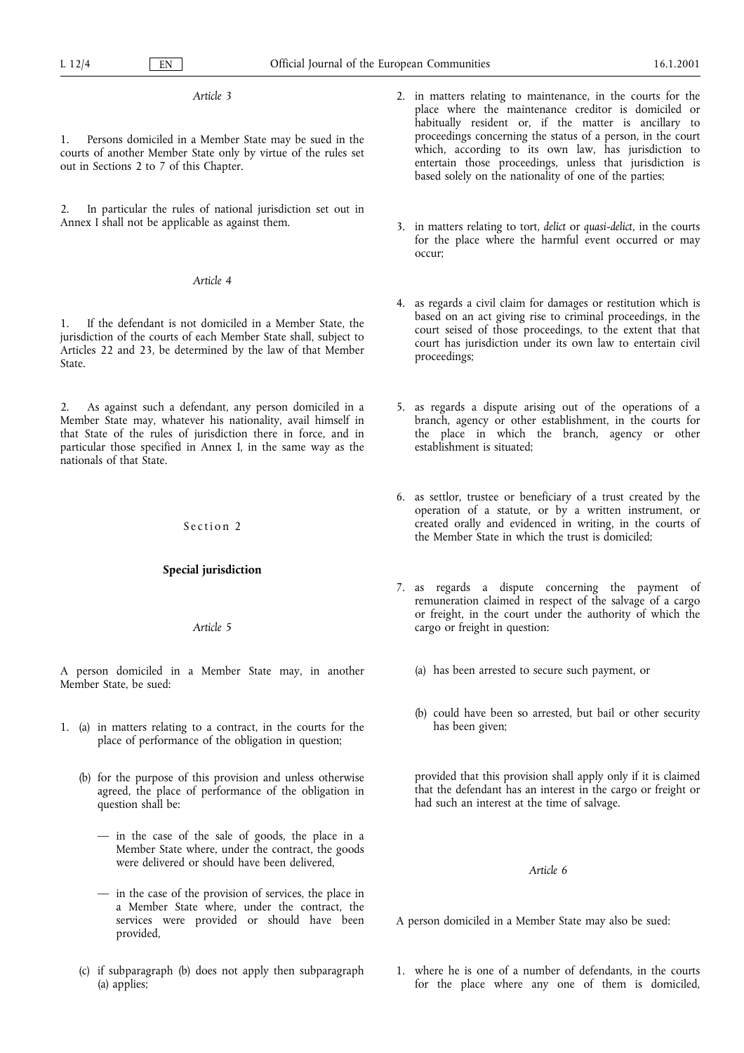Article 3

Persons domiciled in a Member State may be sued in the courts of another Member State only by virtue of the rules set out in Sections 2 to 7 of this Chapter.

2. In particular the rules of national jurisdiction set out in Annex I shall not be applicable as against them.

## Article 4

1. If the defendant is not domiciled in a Member State, the jurisdiction of the courts of each Member State shall, subject to Articles 22 and 23, be determined by the law of that Member State.

2. As against such a defendant, any person domiciled in a Member State may, whatever his nationality, avail himself in that State of the rules of jurisdiction there in force, and in particular those specified in Annex I, in the same way as the nationals of that State.

# Section 2

# Special jurisdiction

## Article 5

A person domiciled in a Member State may, in another Member State, be sued:

- 1. (a) in matters relating to a contract, in the courts for the place of performance of the obligation in question;
	- (b) for the purpose of this provision and unless otherwise agreed, the place of performance of the obligation in question shall be:
		- in the case of the sale of goods, the place in a Member State where, under the contract, the goods were delivered or should have been delivered,
		- $\frac{1}{\sqrt{1}}$  in the case of the provision of services, the place in a Member State where, under the contract, the services were provided or should have been provided,
	- (c) if subparagraph (b) does not apply then subparagraph (a) applies;
- 2. in matters relating to maintenance, in the courts for the place where the maintenance creditor is domiciled or habitually resident or, if the matter is ancillary to proceedings concerning the status of a person, in the court which, according to its own law, has jurisdiction to entertain those proceedings, unless that jurisdiction is based solely on the nationality of one of the parties;
- 3. in matters relating to tort, delict or quasi-delict, in the courts for the place where the harmful event occurred or may occur;
- 4. as regards a civil claim for damages or restitution which is based on an act giving rise to criminal proceedings, in the court seised of those proceedings, to the extent that that court has jurisdiction under its own law to entertain civil proceedings;
- 5. as regards a dispute arising out of the operations of a branch, agency or other establishment, in the courts for the place in which the branch, agency or other establishment is situated;
- 6. as settlor, trustee or beneficiary of a trust created by the operation of a statute, or by a written instrument, or created orally and evidenced in writing, in the courts of the Member State in which the trust is domiciled;
- 7. as regards a dispute concerning the payment of remuneration claimed in respect of the salvage of a cargo or freight, in the court under the authority of which the cargo or freight in question:
	- (a) has been arrested to secure such payment, or
	- (b) could have been so arrested, but bail or other security has been given;

provided that this provision shall apply only if it is claimed that the defendant has an interest in the cargo or freight or had such an interest at the time of salvage.

# Article 6

A person domiciled in a Member State may also be sued:

1. where he is one of a number of defendants, in the courts for the place where any one of them is domiciled,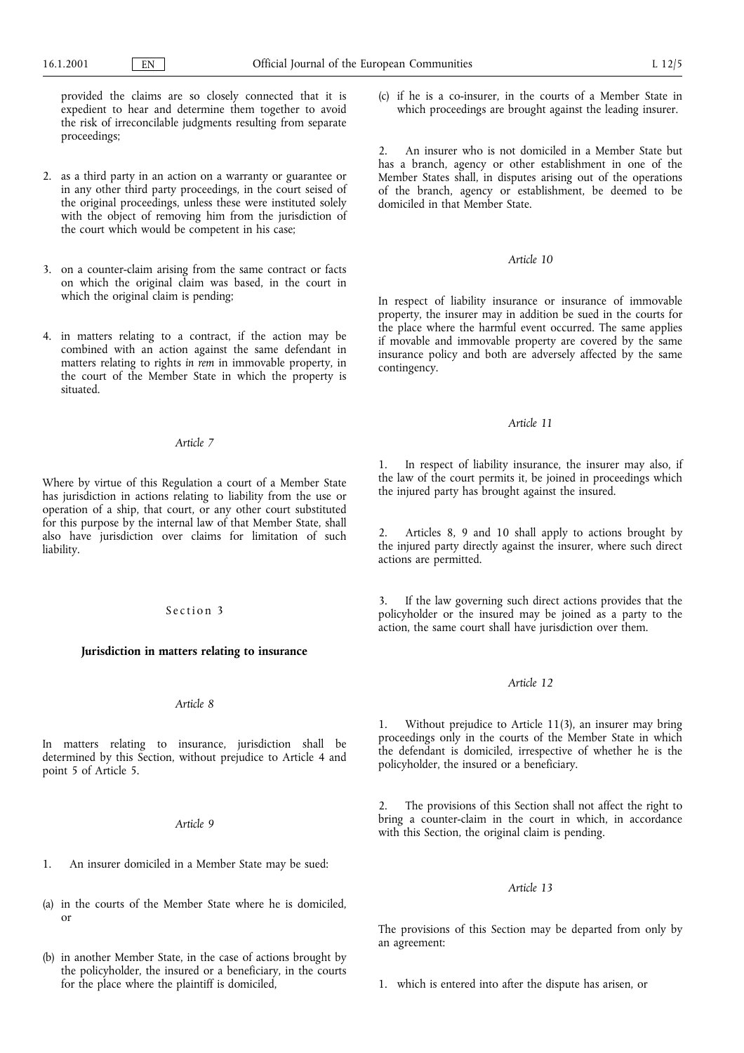provided the claims are so closely connected that it is expedient to hear and determine them together to avoid the risk of irreconcilable judgments resulting from separate proceedings;

- 2. as a third party in an action on a warranty or guarantee or in any other third party proceedings, in the court seised of the original proceedings, unless these were instituted solely with the object of removing him from the jurisdiction of the court which would be competent in his case;
- 3. on a counter-claim arising from the same contract or facts on which the original claim was based, in the court in which the original claim is pending;
- 4. in matters relating to a contract, if the action may be combined with an action against the same defendant in matters relating to rights in rem in immovable property, in the court of the Member State in which the property is situated.

# Article 7

Where by virtue of this Regulation a court of a Member State has jurisdiction in actions relating to liability from the use or operation of a ship, that court, or any other court substituted for this purpose by the internal law of that Member State, shall also have jurisdiction over claims for limitation of such liability.

# Section 3

## Jurisdiction in matters relating to insurance

## Article 8

In matters relating to insurance, jurisdiction shall be determined by this Section, without prejudice to Article 4 and point 5 of Article 5.

# Article 9

- 1. An insurer domiciled in a Member State may be sued:
- (a) in the courts of the Member State where he is domiciled, or
- (b) in another Member State, in the case of actions brought by the policyholder, the insured or a beneficiary, in the courts for the place where the plaintiff is domiciled,

(c) if he is a co-insurer, in the courts of a Member State in which proceedings are brought against the leading insurer.

2. An insurer who is not domiciled in a Member State but has a branch, agency or other establishment in one of the Member States shall, in disputes arising out of the operations of the branch, agency or establishment, be deemed to be domiciled in that Member State.

## Article 10

In respect of liability insurance or insurance of immovable property, the insurer may in addition be sued in the courts for the place where the harmful event occurred. The same applies if movable and immovable property are covered by the same insurance policy and both are adversely affected by the same contingency.

#### Article 11

1. In respect of liability insurance, the insurer may also, if the law of the court permits it, be joined in proceedings which the injured party has brought against the insured.

2. Articles 8, 9 and 10 shall apply to actions brought by the injured party directly against the insurer, where such direct actions are permitted.

3. If the law governing such direct actions provides that the policyholder or the insured may be joined as a party to the action, the same court shall have jurisdiction over them.

# Article 12

1. Without prejudice to Article 11(3), an insurer may bring proceedings only in the courts of the Member State in which the defendant is domiciled, irrespective of whether he is the policyholder, the insured or a beneficiary.

The provisions of this Section shall not affect the right to bring a counter-claim in the court in which, in accordance with this Section, the original claim is pending.

## Article 13

The provisions of this Section may be departed from only by an agreement:

1. which is entered into after the dispute has arisen, or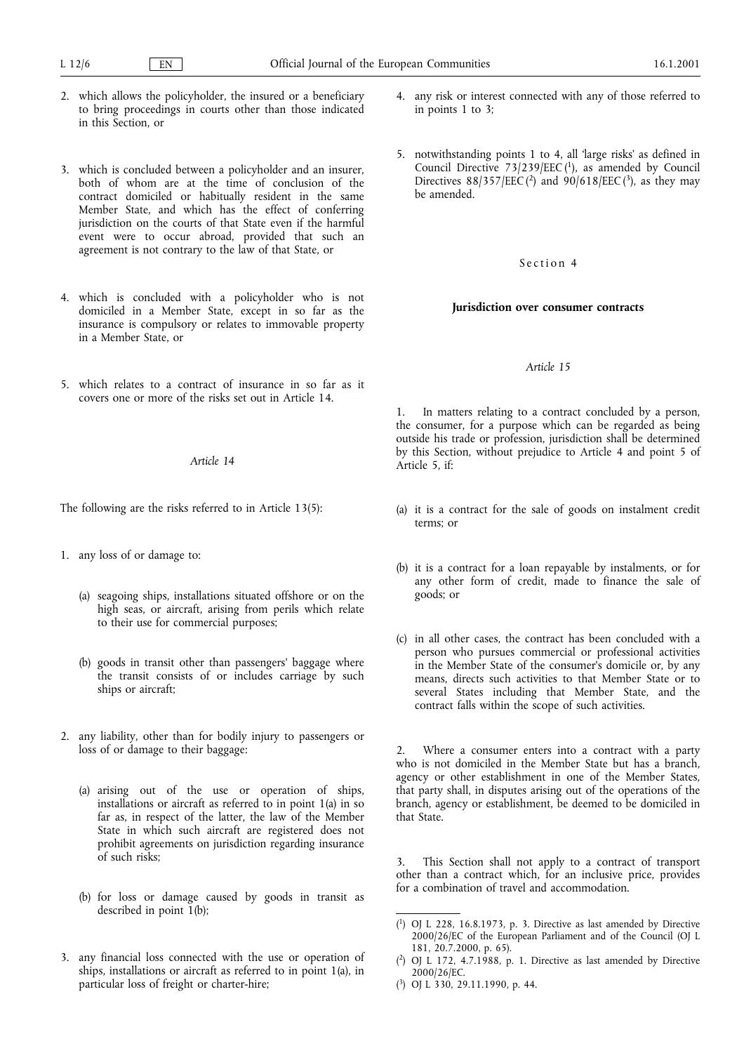- 2. which allows the policyholder, the insured or a beneficiary to bring proceedings in courts other than those indicated in this Section, or
- 3. which is concluded between a policyholder and an insurer, both of whom are at the time of conclusion of the contract domiciled or habitually resident in the same Member State, and which has the effect of conferring jurisdiction on the courts of that State even if the harmful event were to occur abroad, provided that such an agreement is not contrary to the law of that State, or
- 4. which is concluded with a policyholder who is not domiciled in a Member State, except in so far as the insurance is compulsory or relates to immovable property in a Member State, or
- 5. which relates to a contract of insurance in so far as it covers one or more of the risks set out in Article 14.

# Article 14

The following are the risks referred to in Article 13(5):

- 1. any loss of or damage to:
	- (a) seagoing ships, installations situated offshore or on the high seas, or aircraft, arising from perils which relate to their use for commercial purposes;
	- (b) goods in transit other than passengers' baggage where the transit consists of or includes carriage by such ships or aircraft;
- 2. any liability, other than for bodily injury to passengers or loss of or damage to their baggage:
	- (a) arising out of the use or operation of ships, installations or aircraft as referred to in point  $1(a)$  in so far as, in respect of the latter, the law of the Member State in which such aircraft are registered does not prohibit agreements on jurisdiction regarding insurance of such risks;
	- (b) for loss or damage caused by goods in transit as described in point  $1(b)$ ;
- 3. any financial loss connected with the use or operation of ships, installations or aircraft as referred to in point 1(a), in particular loss of freight or charter-hire;
- 4. any risk or interest connected with any of those referred to in points 1 to 3;
- 5. notwithstanding points 1 to 4, all 'large risks' as defined in Council Directive  $73/239/EEC$ <sup>(1</sup>), as amended by Council Directives  $88/357/EEC$ <sup>2</sup> and  $90/618/EEC$ <sup>3</sup>), as they may be amended.

# Section 4

## Jurisdiction over consumer contracts

## Article 15

1. In matters relating to a contract concluded by a person, the consumer, for a purpose which can be regarded as being outside his trade or profession, jurisdiction shall be determined by this Section, without prejudice to Article 4 and point 5 of Article 5, if:

- (a) it is a contract for the sale of goods on instalment credit terms; or
- (b) it is a contract for a loan repayable by instalments, or for any other form of credit, made to finance the sale of goods; or
- (c) in all other cases, the contract has been concluded with a person who pursues commercial or professional activities in the Member State of the consumer's domicile or, by any means, directs such activities to that Member State or to several States including that Member State, and the contract falls within the scope of such activities.

2. Where a consumer enters into a contract with a party who is not domiciled in the Member State but has a branch, agency or other establishment in one of the Member States, that party shall, in disputes arising out of the operations of the branch, agency or establishment, be deemed to be domiciled in that State.

This Section shall not apply to a contract of transport other than a contract which, for an inclusive price, provides for a combination of travel and accommodation.

- ( 2) OJ L 172, 4.7.1988, p. 1. Directive as last amended by Directive 2000/26/EC.
- ( 3) OJ L 330, 29.11.1990, p. 44.

<sup>(</sup> 1) OJ L 228, 16.8.1973, p. 3. Directive as last amended by Directive 2000/26/EC of the European Parliament and of the Council (OJ L 181, 20.7.2000, p. 65).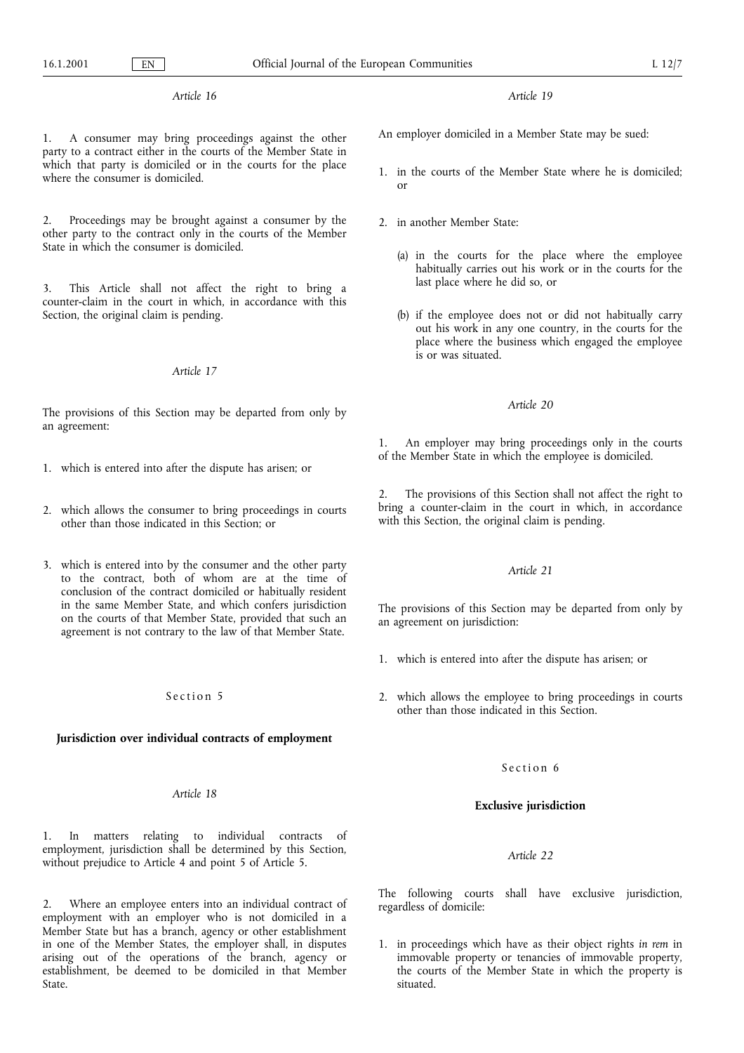Article 16

Article 19

An employer domiciled in a Member State may be sued:

- 1. in the courts of the Member State where he is domiciled; or
- 2. in another Member State:
	- (a) in the courts for the place where the employee habitually carries out his work or in the courts for the last place where he did so, or
	- (b) if the employee does not or did not habitually carry out his work in any one country, in the courts for the place where the business which engaged the employee is or was situated.

# Article 20

1. An employer may bring proceedings only in the courts of the Member State in which the employee is domiciled.

2. The provisions of this Section shall not affect the right to bring a counter-claim in the court in which, in accordance with this Section, the original claim is pending.

# Article 21

The provisions of this Section may be departed from only by an agreement on jurisdiction:

- 1. which is entered into after the dispute has arisen; or
- 2. which allows the employee to bring proceedings in courts other than those indicated in this Section.

## Section 6

# Exclusive jurisdiction

# Article 22

The following courts shall have exclusive jurisdiction, regardless of domicile:

1. in proceedings which have as their object rights in rem in immovable property or tenancies of immovable property, the courts of the Member State in which the property is situated.

1. A consumer may bring proceedings against the other party to a contract either in the courts of the Member State in which that party is domiciled or in the courts for the place where the consumer is domiciled.

2. Proceedings may be brought against a consumer by the other party to the contract only in the courts of the Member State in which the consumer is domiciled.

3. This Article shall not affect the right to bring a counter-claim in the court in which, in accordance with this Section, the original claim is pending.

# Article 17

The provisions of this Section may be departed from only by an agreement:

- 1. which is entered into after the dispute has arisen; or
- 2. which allows the consumer to bring proceedings in courts other than those indicated in this Section; or
- 3. which is entered into by the consumer and the other party to the contract, both of whom are at the time of conclusion of the contract domiciled or habitually resident in the same Member State, and which confers jurisdiction on the courts of that Member State, provided that such an agreement is not contrary to the law of that Member State.

# Section 5

# Jurisdiction over individual contracts of employment

## Article 18

1. In matters relating to individual contracts of employment, jurisdiction shall be determined by this Section, without prejudice to Article 4 and point 5 of Article 5.

2. Where an employee enters into an individual contract of employment with an employer who is not domiciled in a Member State but has a branch, agency or other establishment in one of the Member States, the employer shall, in disputes arising out of the operations of the branch, agency or establishment, be deemed to be domiciled in that Member State.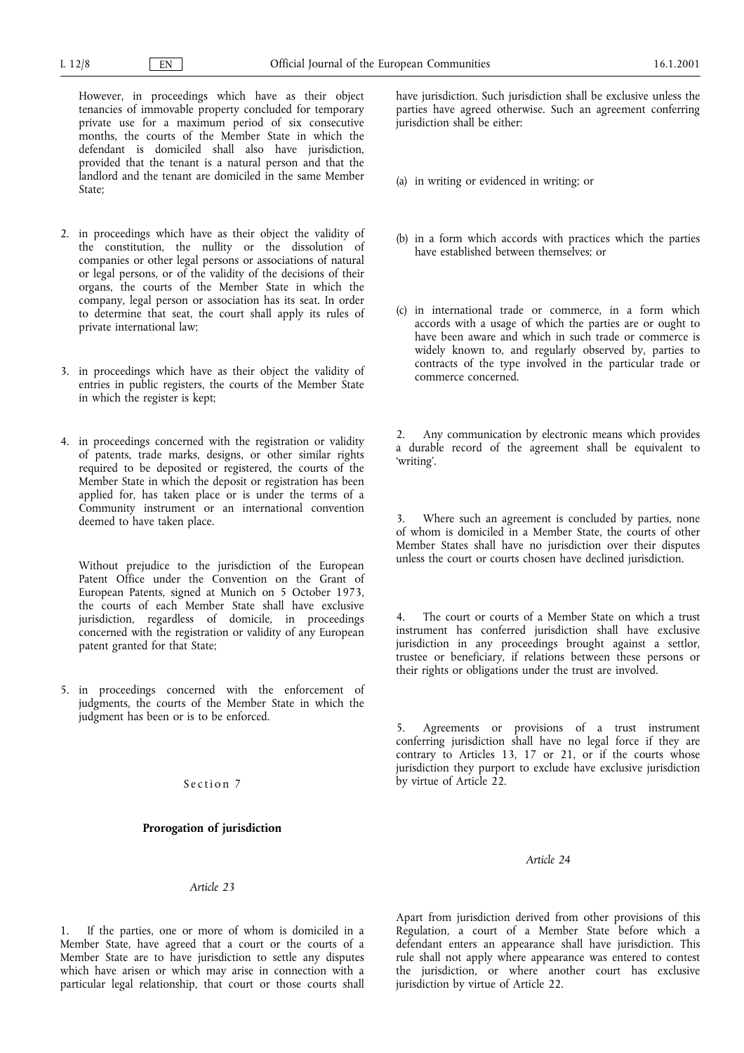However, in proceedings which have as their object tenancies of immovable property concluded for temporary private use for a maximum period of six consecutive months, the courts of the Member State in which the defendant is domiciled shall also have jurisdiction, provided that the tenant is a natural person and that the landlord and the tenant are domiciled in the same Member State;

- 2. in proceedings which have as their object the validity of the constitution, the nullity or the dissolution of companies or other legal persons or associations of natural or legal persons, or of the validity of the decisions of their organs, the courts of the Member State in which the company, legal person or association has its seat. In order to determine that seat, the court shall apply its rules of private international law;
- 3. in proceedings which have as their object the validity of entries in public registers, the courts of the Member State in which the register is kept;
- 4. in proceedings concerned with the registration or validity of patents, trade marks, designs, or other similar rights required to be deposited or registered, the courts of the Member State in which the deposit or registration has been applied for, has taken place or is under the terms of a Community instrument or an international convention deemed to have taken place.

Without prejudice to the jurisdiction of the European Patent Office under the Convention on the Grant of European Patents, signed at Munich on 5 October 1973, the courts of each Member State shall have exclusive jurisdiction, regardless of domicile, in proceedings concerned with the registration or validity of any European patent granted for that State;

5. in proceedings concerned with the enforcement of judgments, the courts of the Member State in which the judgment has been or is to be enforced.

# Section 7

# Prorogation of jurisdiction

## Article 23

1. If the parties, one or more of whom is domiciled in a Member State, have agreed that a court or the courts of a Member State are to have jurisdiction to settle any disputes which have arisen or which may arise in connection with a particular legal relationship, that court or those courts shall have jurisdiction. Such jurisdiction shall be exclusive unless the parties have agreed otherwise. Such an agreement conferring jurisdiction shall be either:

- (a) in writing or evidenced in writing; or
- (b) in a form which accords with practices which the parties have established between themselves; or
- (c) in international trade or commerce, in a form which accords with a usage of which the parties are or ought to have been aware and which in such trade or commerce is widely known to, and regularly observed by, parties to contracts of the type involved in the particular trade or commerce concerned.

2. Any communication by electronic means which provides a durable record of the agreement shall be equivalent to 'writing'.

Where such an agreement is concluded by parties, none of whom is domiciled in a Member State, the courts of other Member States shall have no jurisdiction over their disputes unless the court or courts chosen have declined jurisdiction.

The court or courts of a Member State on which a trust instrument has conferred jurisdiction shall have exclusive jurisdiction in any proceedings brought against a settlor, trustee or beneficiary, if relations between these persons or their rights or obligations under the trust are involved.

5. Agreements or provisions of a trust instrument conferring jurisdiction shall have no legal force if they are contrary to Articles 13, 17 or 21, or if the courts whose jurisdiction they purport to exclude have exclusive jurisdiction by virtue of Article 22.

# Article 24

Apart from jurisdiction derived from other provisions of this Regulation, a court of a Member State before which a defendant enters an appearance shall have jurisdiction. This rule shall not apply where appearance was entered to contest the jurisdiction, or where another court has exclusive jurisdiction by virtue of Article 22.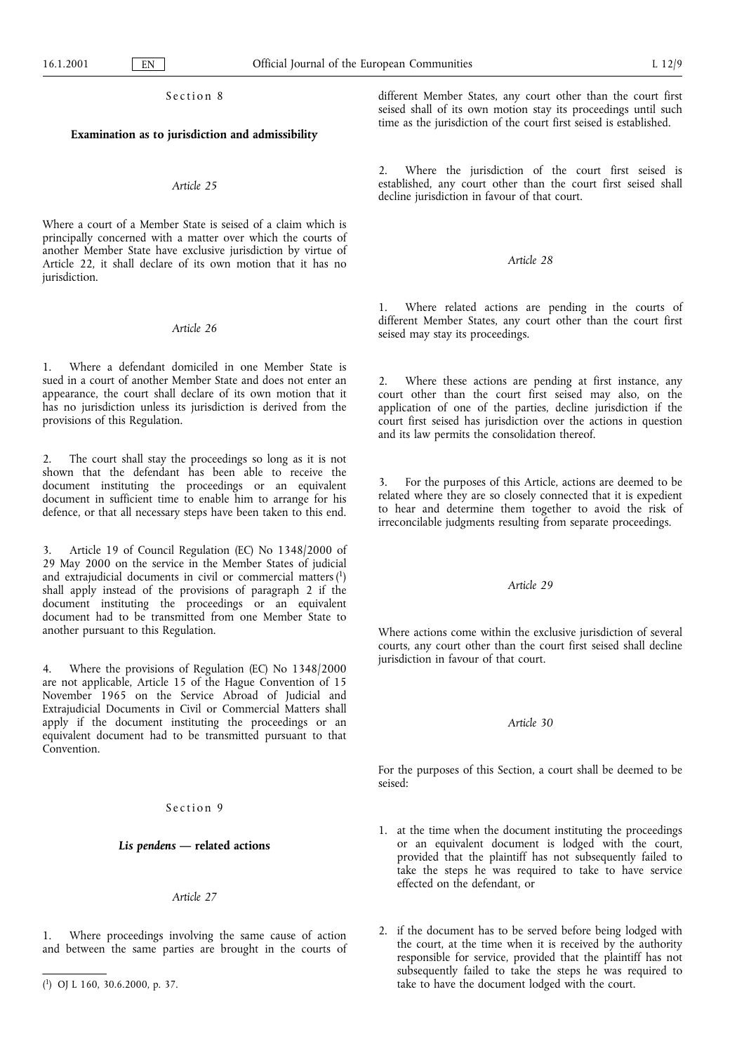Section 8

## Examination as to jurisdiction and admissibility

# Article 25

Where a court of a Member State is seised of a claim which is principally concerned with a matter over which the courts of another Member State have exclusive jurisdiction by virtue of Article 22, it shall declare of its own motion that it has no jurisdiction.

## Article 26

1. Where a defendant domiciled in one Member State is sued in a court of another Member State and does not enter an appearance, the court shall declare of its own motion that it has no jurisdiction unless its jurisdiction is derived from the provisions of this Regulation.

2. The court shall stay the proceedings so long as it is not shown that the defendant has been able to receive the document instituting the proceedings or an equivalent document in sufficient time to enable him to arrange for his defence, or that all necessary steps have been taken to this end.

3. Article 19 of Council Regulation (EC) No 1348/2000 of 29 May 2000 on the service in the Member States of judicial and extrajudicial documents in civil or commercial matters  $(1)$ shall apply instead of the provisions of paragraph 2 if the document instituting the proceedings or an equivalent document had to be transmitted from one Member State to another pursuant to this Regulation.

4. Where the provisions of Regulation (EC) No 1348/2000 are not applicable, Article 15 of the Hague Convention of 15 November 1965 on the Service Abroad of Judicial and Extrajudicial Documents in Civil or Commercial Matters shall apply if the document instituting the proceedings or an equivalent document had to be transmitted pursuant to that Convention.

## Section 9

### Lis pendens  $-$  related actions

Article 27

1. Where proceedings involving the same cause of action and between the same parties are brought in the courts of different Member States, any court other than the court first seised shall of its own motion stay its proceedings until such time as the jurisdiction of the court first seised is established.

2. Where the jurisdiction of the court first seised is established, any court other than the court first seised shall decline jurisdiction in favour of that court.

## Article 28

Where related actions are pending in the courts of different Member States, any court other than the court first seised may stay its proceedings.

2. Where these actions are pending at first instance, any court other than the court first seised may also, on the application of one of the parties, decline jurisdiction if the court first seised has jurisdiction over the actions in question and its law permits the consolidation thereof.

3. For the purposes of this Article, actions are deemed to be related where they are so closely connected that it is expedient to hear and determine them together to avoid the risk of irreconcilable judgments resulting from separate proceedings.

# Article 29

Where actions come within the exclusive jurisdiction of several courts, any court other than the court first seised shall decline jurisdiction in favour of that court.

## Article 30

For the purposes of this Section, a court shall be deemed to be seised:

- 1. at the time when the document instituting the proceedings or an equivalent document is lodged with the court, provided that the plaintiff has not subsequently failed to take the steps he was required to take to have service effected on the defendant, or
- 2. if the document has to be served before being lodged with the court, at the time when it is received by the authority responsible for service, provided that the plaintiff has not subsequently failed to take the steps he was required to ( $^1$ ) OJ L 160, 30.6.2000, p. 37.  $^1$  and  $^2$  and  $^1$  and  $^1$  and  $^1$  and  $^1$  and  $^1$  and  $^1$  and  $^1$  and  $^1$  and  $^1$  and  $^1$  and  $^1$  and  $^1$  and  $^1$  and  $^1$  and  $^1$  and  $^1$  and  $^1$  and  $^1$  and  $^1$  a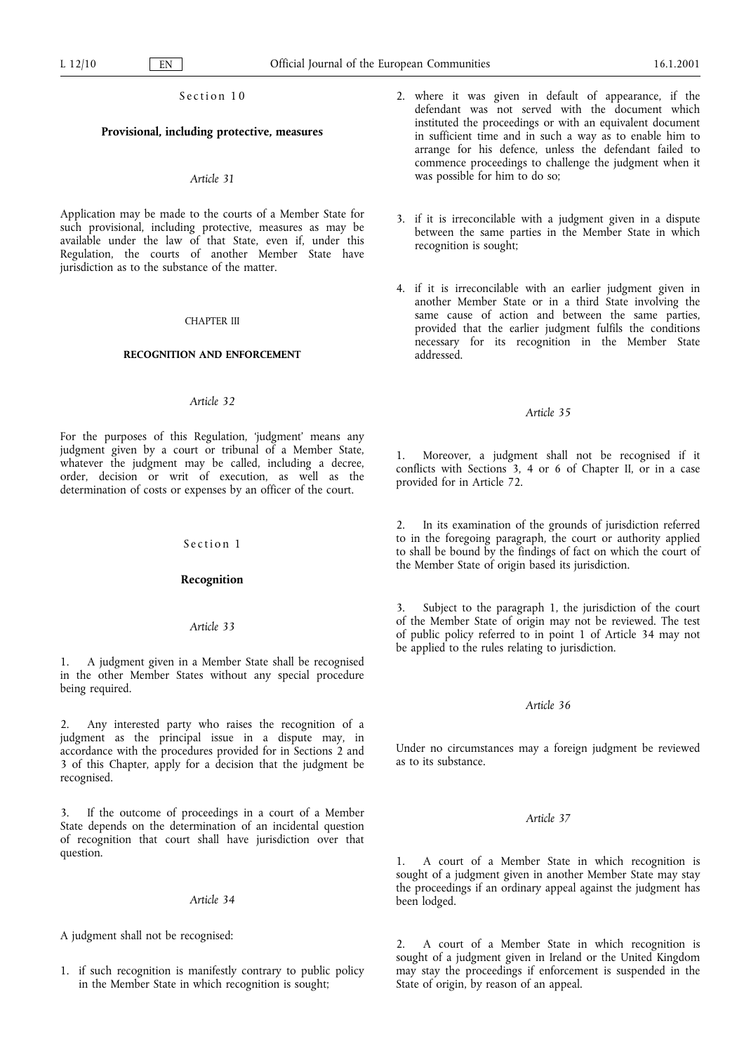# Section 10

# Provisional, including protective, measures

# Article 31

Application may be made to the courts of a Member State for such provisional, including protective, measures as may be available under the law of that State, even if, under this Regulation, the courts of another Member State have jurisdiction as to the substance of the matter.

# CHAPTER III

## RECOGNITION AND ENFORCEMENT

## Article 32

For the purposes of this Regulation, 'judgment' means any judgment given by a court or tribunal of a Member State, whatever the judgment may be called, including a decree, order, decision or writ of execution, as well as the determination of costs or expenses by an officer of the court.

# Section 1

# Recognition

# Article 33

1. A judgment given in a Member State shall be recognised in the other Member States without any special procedure being required.

2. Any interested party who raises the recognition of a judgment as the principal issue in a dispute may, in accordance with the procedures provided for in Sections 2 and 3 of this Chapter, apply for a decision that the judgment be recognised.

3. If the outcome of proceedings in a court of a Member State depends on the determination of an incidental question of recognition that court shall have jurisdiction over that question.

# Article 34

A judgment shall not be recognised:

1. if such recognition is manifestly contrary to public policy in the Member State in which recognition is sought;

- 2. where it was given in default of appearance, if the defendant was not served with the document which instituted the proceedings or with an equivalent document in sufficient time and in such a way as to enable him to arrange for his defence, unless the defendant failed to commence proceedings to challenge the judgment when it was possible for him to do so;
- 3. if it is irreconcilable with a judgment given in a dispute between the same parties in the Member State in which recognition is sought;
- 4. if it is irreconcilable with an earlier judgment given in another Member State or in a third State involving the same cause of action and between the same parties, provided that the earlier judgment fulfils the conditions necessary for its recognition in the Member State addressed.

# Article 35

Moreover, a judgment shall not be recognised if it conflicts with Sections 3, 4 or 6 of Chapter II, or in a case provided for in Article 72.

2. In its examination of the grounds of jurisdiction referred to in the foregoing paragraph, the court or authority applied to shall be bound by the findings of fact on which the court of the Member State of origin based its jurisdiction.

3. Subject to the paragraph 1, the jurisdiction of the court of the Member State of origin may not be reviewed. The test of public policy referred to in point 1 of Article 34 may not be applied to the rules relating to jurisdiction.

# Article 36

Under no circumstances may a foreign judgment be reviewed as to its substance.

## Article 37

1. A court of a Member State in which recognition is sought of a judgment given in another Member State may stay the proceedings if an ordinary appeal against the judgment has been lodged.

2. A court of a Member State in which recognition is sought of a judgment given in Ireland or the United Kingdom may stay the proceedings if enforcement is suspended in the State of origin, by reason of an appeal.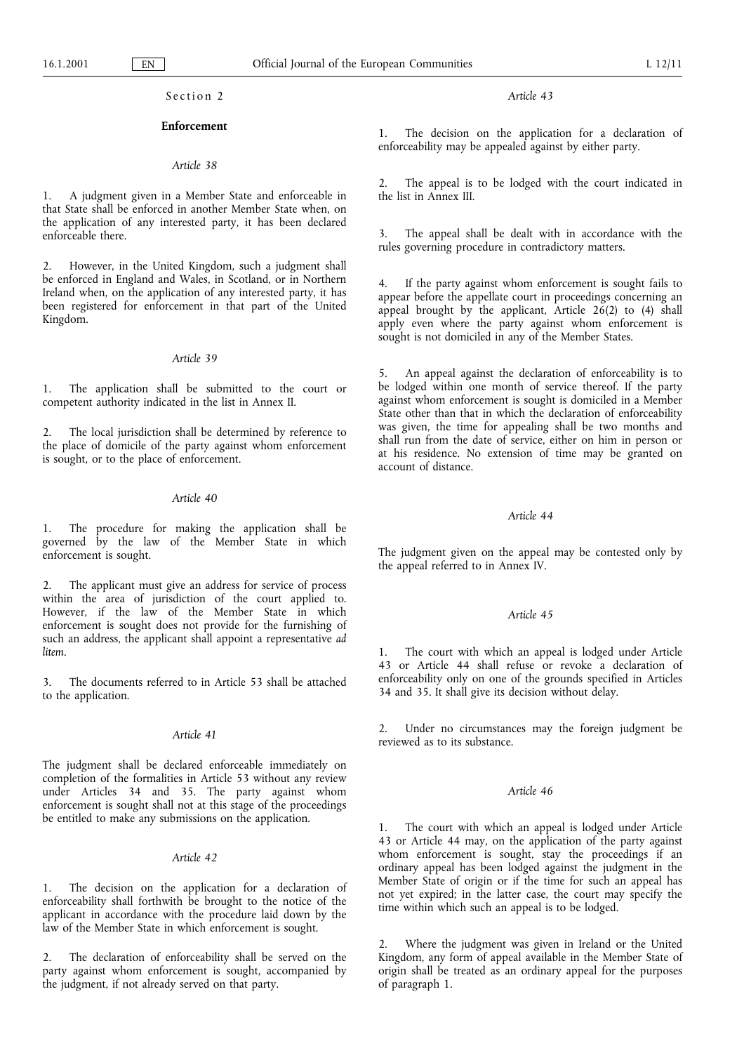# Section 2

# Enforcement

# Article 38

1. A judgment given in a Member State and enforceable in that State shall be enforced in another Member State when, on the application of any interested party, it has been declared enforceable there.

However, in the United Kingdom, such a judgment shall be enforced in England and Wales, in Scotland, or in Northern Ireland when, on the application of any interested party, it has been registered for enforcement in that part of the United Kingdom.

## Article 39

The application shall be submitted to the court or competent authority indicated in the list in Annex II.

2. The local jurisdiction shall be determined by reference to the place of domicile of the party against whom enforcement is sought, or to the place of enforcement.

# Article 40

1. The procedure for making the application shall be governed by the law of the Member State in which enforcement is sought.

2. The applicant must give an address for service of process within the area of jurisdiction of the court applied to. However, if the law of the Member State in which enforcement is sought does not provide for the furnishing of such an address, the applicant shall appoint a representative ad litem.

3. The documents referred to in Article 53 shall be attached to the application.

# Article 41

The judgment shall be declared enforceable immediately on completion of the formalities in Article 53 without any review under Articles 34 and 35. The party against whom enforcement is sought shall not at this stage of the proceedings be entitled to make any submissions on the application.

## Article 42

The decision on the application for a declaration of enforceability shall forthwith be brought to the notice of the applicant in accordance with the procedure laid down by the law of the Member State in which enforcement is sought.

2. The declaration of enforceability shall be served on the party against whom enforcement is sought, accompanied by the judgment, if not already served on that party.

Article 43

1. The decision on the application for a declaration of enforceability may be appealed against by either party.

2. The appeal is to be lodged with the court indicated in the list in Annex III.

3. The appeal shall be dealt with in accordance with the rules governing procedure in contradictory matters.

If the party against whom enforcement is sought fails to appear before the appellate court in proceedings concerning an appeal brought by the applicant, Article  $26(2)$  to (4) shall apply even where the party against whom enforcement is sought is not domiciled in any of the Member States.

5. An appeal against the declaration of enforceability is to be lodged within one month of service thereof. If the party against whom enforcement is sought is domiciled in a Member State other than that in which the declaration of enforceability was given, the time for appealing shall be two months and shall run from the date of service, either on him in person or at his residence. No extension of time may be granted on account of distance.

## Article 44

The judgment given on the appeal may be contested only by the appeal referred to in Annex IV.

## Article 45

1. The court with which an appeal is lodged under Article 43 or Article 44 shall refuse or revoke a declaration of enforceability only on one of the grounds specified in Articles 34 and 35. It shall give its decision without delay.

2. Under no circumstances may the foreign judgment be reviewed as to its substance.

# Article 46

1. The court with which an appeal is lodged under Article 43 or Article 44 may, on the application of the party against whom enforcement is sought, stay the proceedings if an ordinary appeal has been lodged against the judgment in the Member State of origin or if the time for such an appeal has not yet expired; in the latter case, the court may specify the time within which such an appeal is to be lodged.

Where the judgment was given in Ireland or the United Kingdom, any form of appeal available in the Member State of origin shall be treated as an ordinary appeal for the purposes of paragraph 1.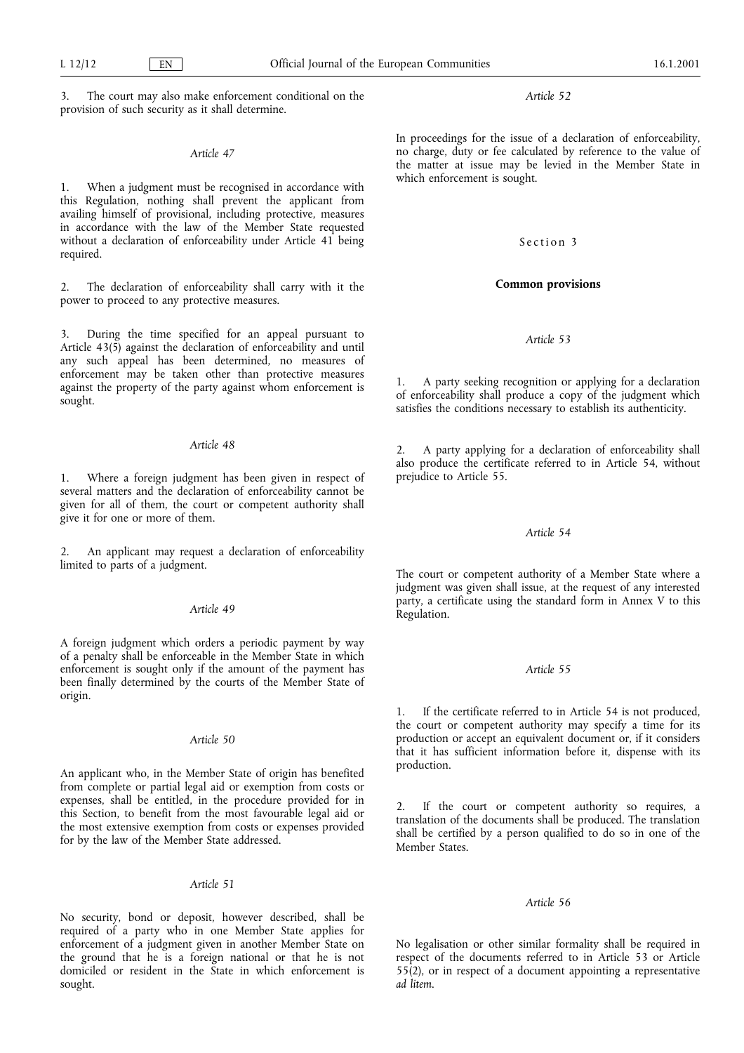3. The court may also make enforcement conditional on the provision of such security as it shall determine.

#### Article 47

1. When a judgment must be recognised in accordance with this Regulation, nothing shall prevent the applicant from availing himself of provisional, including protective, measures in accordance with the law of the Member State requested without a declaration of enforceability under Article 41 being required.

2. The declaration of enforceability shall carry with it the power to proceed to any protective measures.

3. During the time specified for an appeal pursuant to Article 43(5) against the declaration of enforceability and until any such appeal has been determined, no measures of enforcement may be taken other than protective measures against the property of the party against whom enforcement is sought.

### Article 48

1. Where a foreign judgment has been given in respect of several matters and the declaration of enforceability cannot be given for all of them, the court or competent authority shall give it for one or more of them.

2. An applicant may request a declaration of enforceability limited to parts of a judgment.

# Article 49

A foreign judgment which orders a periodic payment by way of a penalty shall be enforceable in the Member State in which enforcement is sought only if the amount of the payment has been finally determined by the courts of the Member State of origin.

# Article 50

An applicant who, in the Member State of origin has benefited from complete or partial legal aid or exemption from costs or expenses, shall be entitled, in the procedure provided for in this Section, to benefit from the most favourable legal aid or the most extensive exemption from costs or expenses provided for by the law of the Member State addressed.

# Article 51

No security, bond or deposit, however described, shall be required of a party who in one Member State applies for enforcement of a judgment given in another Member State on the ground that he is a foreign national or that he is not domiciled or resident in the State in which enforcement is sought.

Article 52

In proceedings for the issue of a declaration of enforceability, no charge, duty or fee calculated by reference to the value of the matter at issue may be levied in the Member State in which enforcement is sought.

# Section 3

## Common provisions

## Article 53

1. A party seeking recognition or applying for a declaration of enforceability shall produce a copy of the judgment which satisfies the conditions necessary to establish its authenticity.

2. A party applying for a declaration of enforceability shall also produce the certificate referred to in Article 54, without prejudice to Article 55.

## Article 54

The court or competent authority of a Member State where a judgment was given shall issue, at the request of any interested party, a certificate using the standard form in Annex V to this Regulation.

# Article 55

If the certificate referred to in Article 54 is not produced, the court or competent authority may specify a time for its production or accept an equivalent document or, if it considers that it has sufficient information before it, dispense with its production.

2. If the court or competent authority so requires, a translation of the documents shall be produced. The translation shall be certified by a person qualified to do so in one of the Member States.

#### Article 56

No legalisation or other similar formality shall be required in respect of the documents referred to in Article 53 or Article 55(2), or in respect of a document appointing a representative ad litem.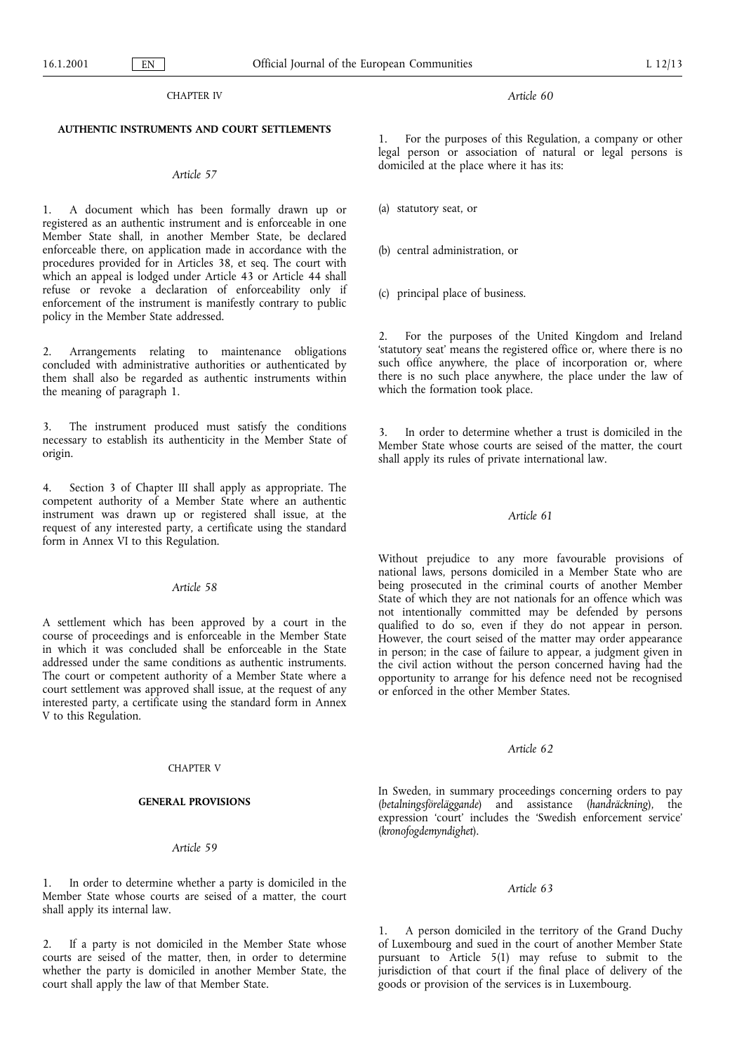# CHAPTER IV

# AUTHENTIC INSTRUMENTS AND COURT SETTLEMENTS

# Article 57

1. A document which has been formally drawn up or registered as an authentic instrument and is enforceable in one Member State shall, in another Member State, be declared enforceable there, on application made in accordance with the procedures provided for in Articles 38, et seq. The court with which an appeal is lodged under Article 43 or Article 44 shall refuse or revoke a declaration of enforceability only if enforcement of the instrument is manifestly contrary to public policy in the Member State addressed.

2. Arrangements relating to maintenance obligations concluded with administrative authorities or authenticated by them shall also be regarded as authentic instruments within the meaning of paragraph 1.

3. The instrument produced must satisfy the conditions necessary to establish its authenticity in the Member State of origin.

4. Section 3 of Chapter III shall apply as appropriate. The competent authority of a Member State where an authentic instrument was drawn up or registered shall issue, at the request of any interested party, a certificate using the standard form in Annex VI to this Regulation.

# Article 58

A settlement which has been approved by a court in the course of proceedings and is enforceable in the Member State in which it was concluded shall be enforceable in the State addressed under the same conditions as authentic instruments. The court or competent authority of a Member State where a court settlement was approved shall issue, at the request of any interested party, a certificate using the standard form in Annex V to this Regulation.

#### CHAPTER V

# GENERAL PROVISIONS

Article 59

1. In order to determine whether a party is domiciled in the Member State whose courts are seised of a matter, the court shall apply its internal law.

2. If a party is not domiciled in the Member State whose courts are seised of the matter, then, in order to determine whether the party is domiciled in another Member State, the court shall apply the law of that Member State.

Article 60

1. For the purposes of this Regulation, a company or other legal person or association of natural or legal persons is domiciled at the place where it has its:

(a) statutory seat, or

(b) central administration, or

(c) principal place of business.

For the purposes of the United Kingdom and Ireland 'statutory seat' means the registered office or, where there is no such office anywhere, the place of incorporation or, where there is no such place anywhere, the place under the law of which the formation took place.

3. In order to determine whether a trust is domiciled in the Member State whose courts are seised of the matter, the court shall apply its rules of private international law.

## Article 61

Without prejudice to any more favourable provisions of national laws, persons domiciled in a Member State who are being prosecuted in the criminal courts of another Member State of which they are not nationals for an offence which was not intentionally committed may be defended by persons qualified to do so, even if they do not appear in person. However, the court seised of the matter may order appearance in person; in the case of failure to appear, a judgment given in the civil action without the person concerned having had the opportunity to arrange for his defence need not be recognised or enforced in the other Member States.

# Article 62

In Sweden, in summary proceedings concerning orders to pay (betalningsföreläggande) and assistance (handräckning), the expression 'court' includes the 'Swedish enforcement service' (kronofogdemyndighet).

#### Article 63

1. A person domiciled in the territory of the Grand Duchy of Luxembourg and sued in the court of another Member State pursuant to Article 5(1) may refuse to submit to the jurisdiction of that court if the final place of delivery of the goods or provision of the services is in Luxembourg.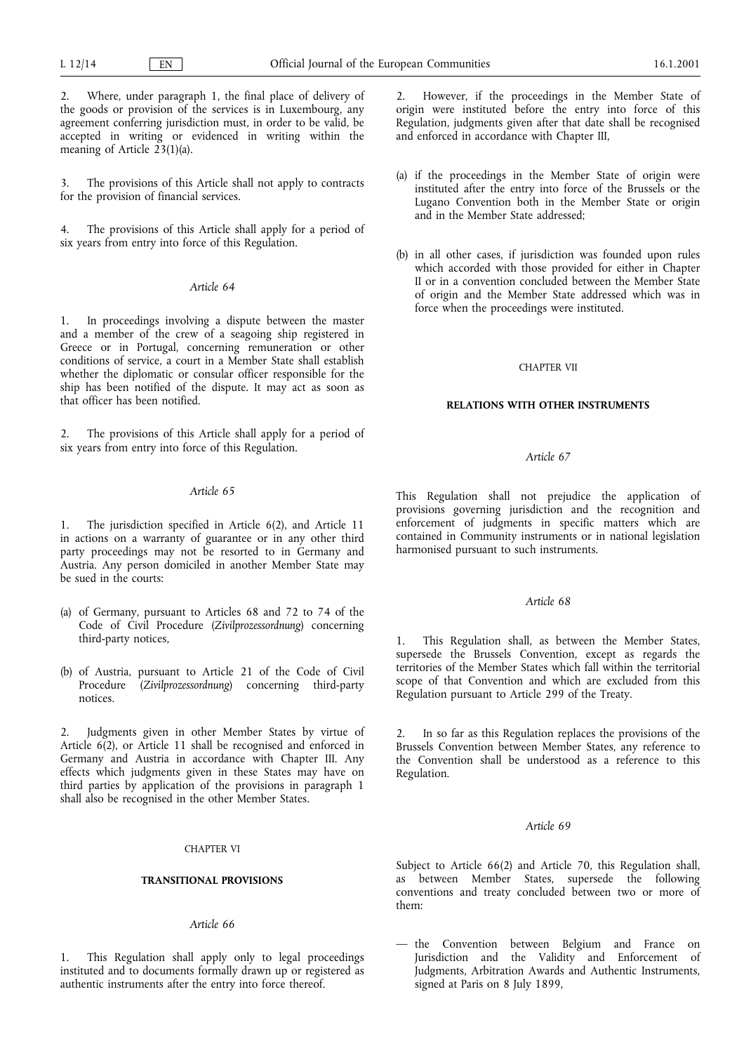Where, under paragraph 1, the final place of delivery of the goods or provision of the services is in Luxembourg, any agreement conferring jurisdiction must, in order to be valid, be accepted in writing or evidenced in writing within the meaning of Article 23(1)(a).

3. The provisions of this Article shall not apply to contracts for the provision of financial services.

The provisions of this Article shall apply for a period of six years from entry into force of this Regulation.

## Article 64

1. In proceedings involving a dispute between the master and a member of the crew of a seagoing ship registered in Greece or in Portugal, concerning remuneration or other conditions of service, a court in a Member State shall establish whether the diplomatic or consular officer responsible for the ship has been notified of the dispute. It may act as soon as that officer has been notified.

2. The provisions of this Article shall apply for a period of six years from entry into force of this Regulation.

## Article 65

1. The jurisdiction specified in Article 6(2), and Article 11 in actions on a warranty of guarantee or in any other third party proceedings may not be resorted to in Germany and Austria. Any person domiciled in another Member State may be sued in the courts:

- (a) of Germany, pursuant to Articles 68 and 72 to 74 of the Code of Civil Procedure (Zivilprozessordnung) concerning third-party notices,
- (b) of Austria, pursuant to Article 21 of the Code of Civil Procedure (Zivilprozessordnung) concerning third-party notices.

2. Judgments given in other Member States by virtue of Article  $6(2)$ , or Article 11 shall be recognised and enforced in Germany and Austria in accordance with Chapter III. Any effects which judgments given in these States may have on third parties by application of the provisions in paragraph 1 shall also be recognised in the other Member States.

# CHAPTER VI

# TRANSITIONAL PROVISIONS

# Article 66

1. This Regulation shall apply only to legal proceedings instituted and to documents formally drawn up or registered as authentic instruments after the entry into force thereof.

2. However, if the proceedings in the Member State of origin were instituted before the entry into force of this Regulation, judgments given after that date shall be recognised and enforced in accordance with Chapter III,

- (a) if the proceedings in the Member State of origin were instituted after the entry into force of the Brussels or the Lugano Convention both in the Member State or origin and in the Member State addressed;
- (b) in all other cases, if jurisdiction was founded upon rules which accorded with those provided for either in Chapter II or in a convention concluded between the Member State of origin and the Member State addressed which was in force when the proceedings were instituted.

## CHAPTER VII

# RELATIONS WITH OTHER INSTRUMENTS

# Article 67

This Regulation shall not prejudice the application of provisions governing jurisdiction and the recognition and enforcement of judgments in specific matters which are contained in Community instruments or in national legislation harmonised pursuant to such instruments.

# Article 68

1. This Regulation shall, as between the Member States, supersede the Brussels Convention, except as regards the territories of the Member States which fall within the territorial scope of that Convention and which are excluded from this Regulation pursuant to Article 299 of the Treaty.

2. In so far as this Regulation replaces the provisions of the Brussels Convention between Member States, any reference to the Convention shall be understood as a reference to this Regulation.

## Article 69

Subject to Article 66(2) and Article 70, this Regulation shall, as between Member States, supersede the following conventions and treaty concluded between two or more of them:

- the Convention between Belgium and France on Jurisdiction and the Validity and Enforcement of Judgments, Arbitration Awards and Authentic Instruments, signed at Paris on 8 July 1899,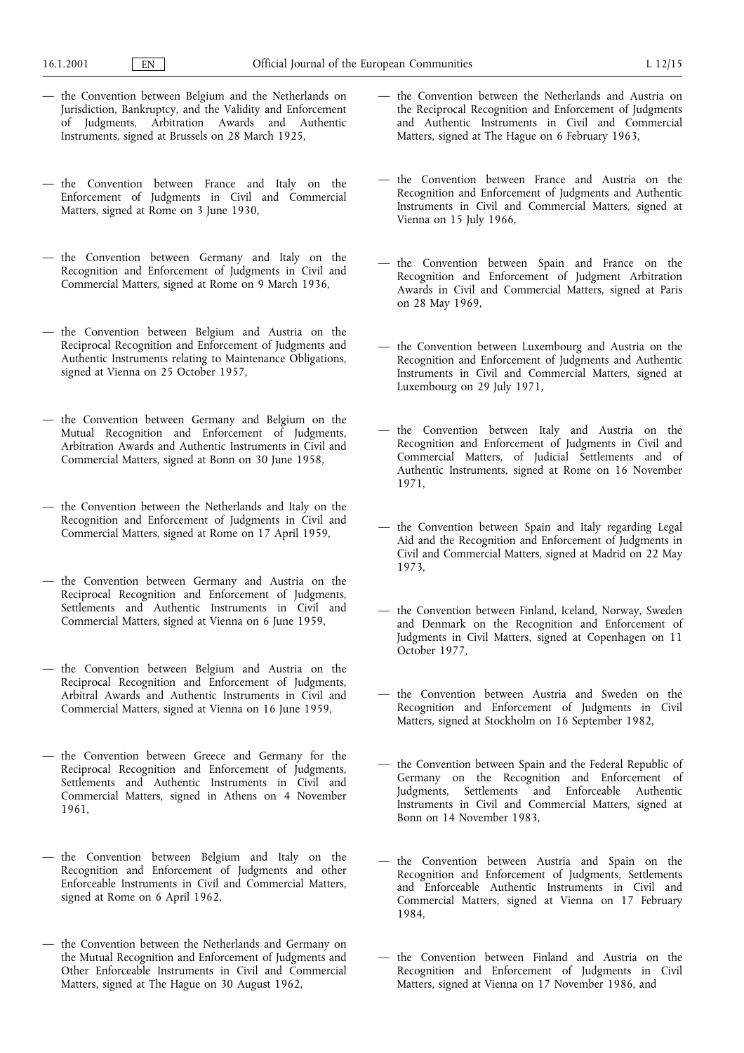- the Convention between Belgium and the Netherlands on Jurisdiction, Bankruptcy, and the Validity and Enforcement of Judgments, Arbitration Awards and Authentic Instruments, signed at Brussels on 28 March 1925,
- the Convention between France and Italy on the Enforcement of Judgments in Civil and Commercial Matters, signed at Rome on 3 June 1930,
- the Convention between Germany and Italy on the Recognition and Enforcement of Judgments in Civil and Commercial Matters, signed at Rome on 9 March 1936,
- the Convention between Belgium and Austria on the Reciprocal Recognition and Enforcement of Judgments and Authentic Instruments relating to Maintenance Obligations, signed at Vienna on 25 October 1957,
- the Convention between Germany and Belgium on the Mutual Recognition and Enforcement of Judgments, Arbitration Awards and Authentic Instruments in Civil and Commercial Matters, signed at Bonn on 30 June 1958,
- the Convention between the Netherlands and Italy on the Recognition and Enforcement of Judgments in Civil and Commercial Matters, signed at Rome on 17 April 1959,
- the Convention between Germany and Austria on the Reciprocal Recognition and Enforcement of Judgments, Settlements and Authentic Instruments in Civil and Commercial Matters, signed at Vienna on 6 June 1959,
- the Convention between Belgium and Austria on the Reciprocal Recognition and Enforcement of Judgments, Arbitral Awards and Authentic Instruments in Civil and Commercial Matters, signed at Vienna on 16 June 1959,
- the Convention between Greece and Germany for the Reciprocal Recognition and Enforcement of Judgments, Settlements and Authentic Instruments in Civil and Commercial Matters, signed in Athens on 4 November 1961,
- the Convention between Belgium and Italy on the Recognition and Enforcement of Judgments and other Enforceable Instruments in Civil and Commercial Matters, signed at Rome on 6 April 1962,
- the Convention between the Netherlands and Germany on the Mutual Recognition and Enforcement of Judgments and Other Enforceable Instruments in Civil and Commercial Matters, signed at The Hague on 30 August 1962,
- the Convention between the Netherlands and Austria on the Reciprocal Recognition and Enforcement of Judgments and Authentic Instruments in Civil and Commercial Matters, signed at The Hague on 6 February 1963,
- the Convention between France and Austria on the Recognition and Enforcement of Judgments and Authentic Instruments in Civil and Commercial Matters, signed at Vienna on 15 July 1966,
- the Convention between Spain and France on the Recognition and Enforcement of Judgment Arbitration Awards in Civil and Commercial Matters, signed at Paris on 28 May 1969,
- the Convention between Luxembourg and Austria on the Recognition and Enforcement of Judgments and Authentic Instruments in Civil and Commercial Matters, signed at Luxembourg on 29 July 1971,
- the Convention between Italy and Austria on the Recognition and Enforcement of Judgments in Civil and Commercial Matters, of Judicial Settlements and of Authentic Instruments, signed at Rome on 16 November 1971,
- the Convention between Spain and Italy regarding Legal Aid and the Recognition and Enforcement of Judgments in Civil and Commercial Matters, signed at Madrid on 22 May 1973,
- $-$  the Convention between Finland, Iceland, Norway, Sweden and Denmark on the Recognition and Enforcement of Judgments in Civil Matters, signed at Copenhagen on 11 October 1977,
- the Convention between Austria and Sweden on the Recognition and Enforcement of Judgments in Civil Matters, signed at Stockholm on 16 September 1982,
- the Convention between Spain and the Federal Republic of Germany on the Recognition and Enforcement of Judgments, Settlements and Enforceable Authentic Instruments in Civil and Commercial Matters, signed at Bonn on 14 November 1983,
- the Convention between Austria and Spain on the Recognition and Enforcement of Judgments, Settlements and Enforceable Authentic Instruments in Civil and Commercial Matters, signed at Vienna on 17 February 1984,
- the Convention between Finland and Austria on the Recognition and Enforcement of Judgments in Civil Matters, signed at Vienna on 17 November 1986, and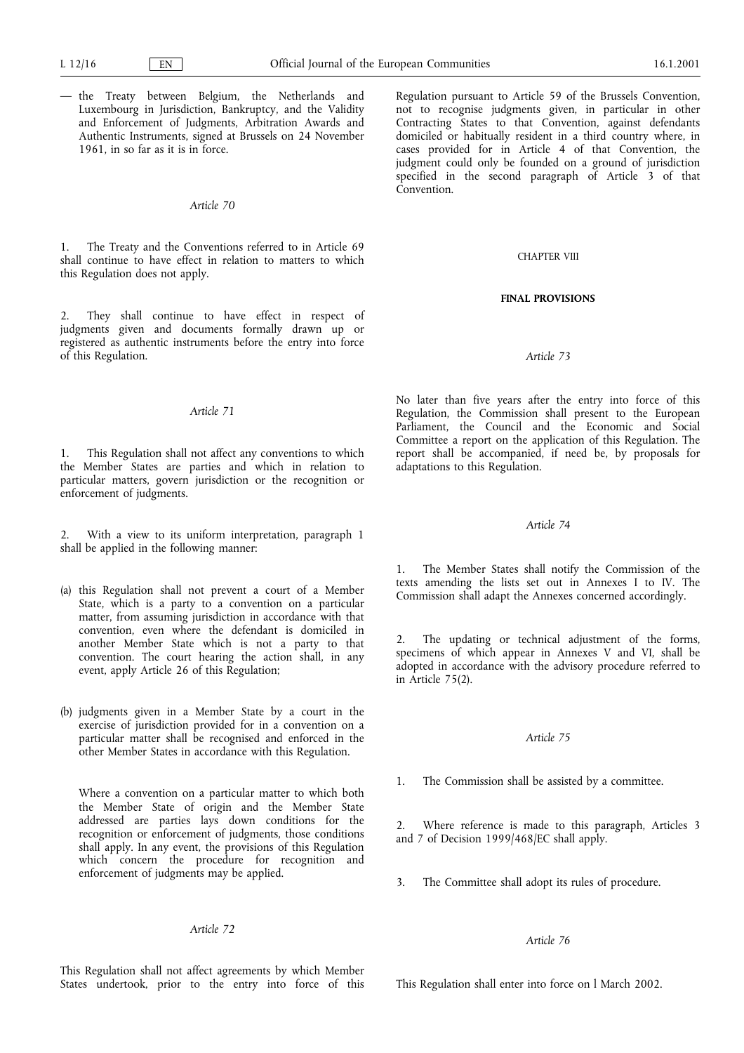- the Treaty between Belgium, the Netherlands and Luxembourg in Jurisdiction, Bankruptcy, and the Validity and Enforcement of Judgments, Arbitration Awards and Authentic Instruments, signed at Brussels on 24 November 1961, in so far as it is in force.

# Article 70

1. The Treaty and the Conventions referred to in Article 69 shall continue to have effect in relation to matters to which this Regulation does not apply.

They shall continue to have effect in respect of judgments given and documents formally drawn up or registered as authentic instruments before the entry into force of this Regulation.

# Article 71

1. This Regulation shall not affect any conventions to which the Member States are parties and which in relation to particular matters, govern jurisdiction or the recognition or enforcement of judgments.

2. With a view to its uniform interpretation, paragraph 1 shall be applied in the following manner:

- (a) this Regulation shall not prevent a court of a Member State, which is a party to a convention on a particular matter, from assuming jurisdiction in accordance with that convention, even where the defendant is domiciled in another Member State which is not a party to that convention. The court hearing the action shall, in any event, apply Article 26 of this Regulation;
- (b) judgments given in a Member State by a court in the exercise of jurisdiction provided for in a convention on a particular matter shall be recognised and enforced in the other Member States in accordance with this Regulation.

Where a convention on a particular matter to which both the Member State of origin and the Member State addressed are parties lays down conditions for the recognition or enforcement of judgments, those conditions shall apply. In any event, the provisions of this Regulation which concern the procedure for recognition and enforcement of judgments may be applied.

# Article 72

This Regulation shall not affect agreements by which Member States undertook, prior to the entry into force of this

Regulation pursuant to Article 59 of the Brussels Convention, not to recognise judgments given, in particular in other Contracting States to that Convention, against defendants domiciled or habitually resident in a third country where, in cases provided for in Article 4 of that Convention, the judgment could only be founded on a ground of jurisdiction specified in the second paragraph of Article 3 of that Convention.

## CHAPTER VIII

## FINAL PROVISIONS

# Article 73

No later than five years after the entry into force of this Regulation, the Commission shall present to the European Parliament, the Council and the Economic and Social Committee a report on the application of this Regulation. The report shall be accompanied, if need be, by proposals for adaptations to this Regulation.

# Article 74

1. The Member States shall notify the Commission of the texts amending the lists set out in Annexes I to IV. The Commission shall adapt the Annexes concerned accordingly.

2. The updating or technical adjustment of the forms, specimens of which appear in Annexes V and VI, shall be adopted in accordance with the advisory procedure referred to in Article 75(2).

#### Article 75

1. The Commission shall be assisted by a committee.

2. Where reference is made to this paragraph, Articles 3 and 7 of Decision 1999/468/EC shall apply.

3. The Committee shall adopt its rules of procedure.

# Article 76

This Regulation shall enter into force on l March 2002.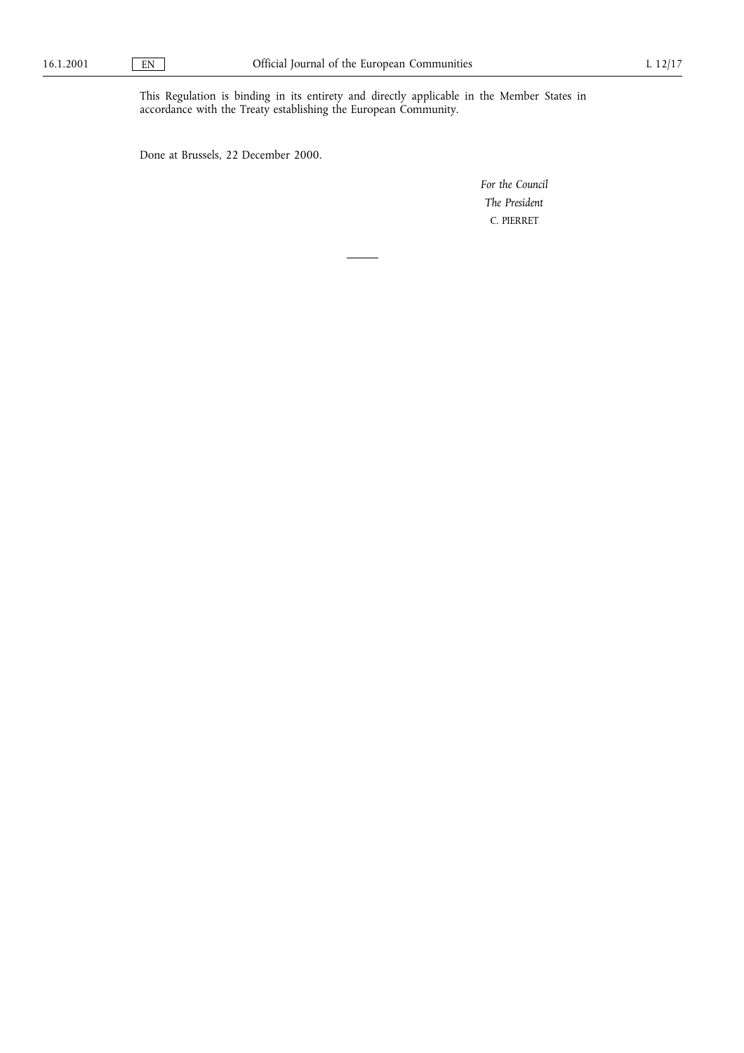This Regulation is binding in its entirety and directly applicable in the Member States in accordance with the Treaty establishing the European Community.

Done at Brussels, 22 December 2000.

For the Council The President C. PIERRET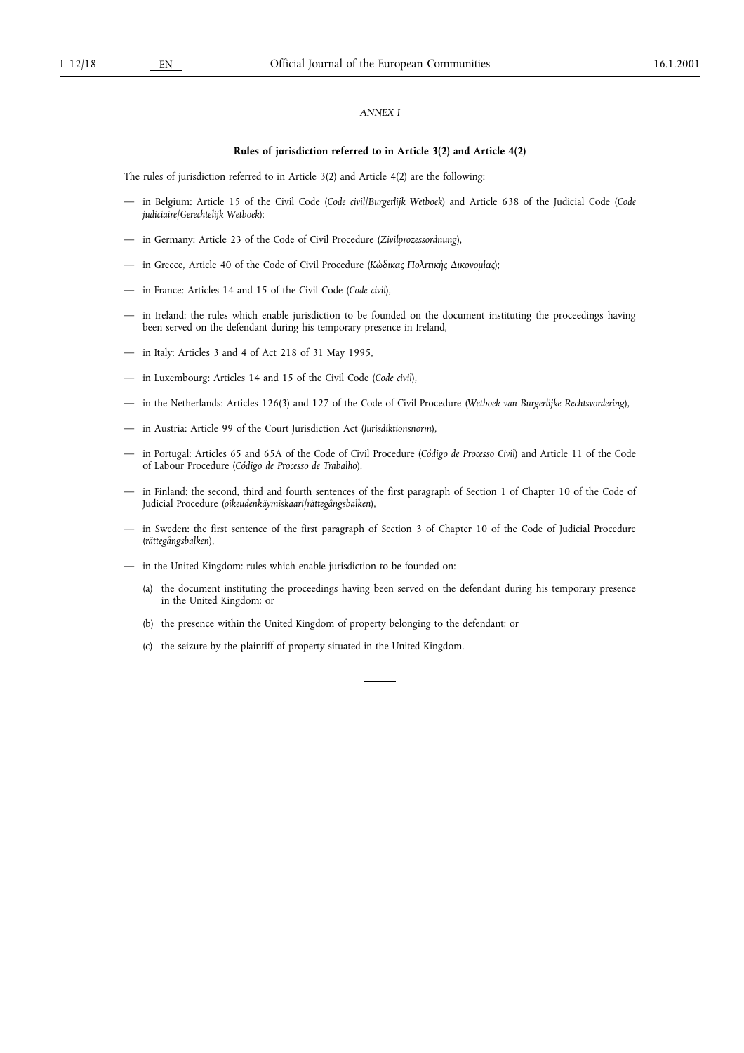## ANNEX I

# Rules of jurisdiction referred to in Article 3(2) and Article 4(2)

The rules of jurisdiction referred to in Article 3(2) and Article 4(2) are the following:

- in Belgium: Article 15 of the Civil Code (Code civil/Burgerlijk Wetboek) and Article 638 of the Judicial Code (Code judiciaire/Gerechtelijk Wetboek);
- in Germany: Article 23 of the Code of Civil Procedure (Zivilprozessordnung),
- in Greece, Article 40 of the Code of Civil Procedure (Κώδικας Πολιτικής Δικονομίας);
- in France: Articles 14 and 15 of the Civil Code (Code civil),
- in Ireland: the rules which enable jurisdiction to be founded on the document instituting the proceedings having been served on the defendant during his temporary presence in Ireland,
- in Italy: Articles 3 and 4 of Act 218 of 31 May 1995,
- in Luxembourg: Articles 14 and 15 of the Civil Code (Code civil),
- in the Netherlands: Articles 126(3) and 127 of the Code of Civil Procedure (Wetboek van Burgerlijke Rechtsvordering),
- in Austria: Article 99 of the Court Jurisdiction Act (Jurisdiktionsnorm),
- in Portugal: Articles 65 and 65A of the Code of Civil Procedure (Código de Processo Civil) and Article 11 of the Code of Labour Procedure (Código de Processo de Trabalho),
- in Finland: the second, third and fourth sentences of the first paragraph of Section 1 of Chapter 10 of the Code of Judicial Procedure (oikeudenkäymiskaari/rättegångsbalken),
- in Sweden: the first sentence of the first paragraph of Section 3 of Chapter 10 of the Code of Judicial Procedure (rättegångsbalken),
- in the United Kingdom: rules which enable jurisdiction to be founded on:
	- (a) the document instituting the proceedings having been served on the defendant during his temporary presence in the United Kingdom; or
	- (b) the presence within the United Kingdom of property belonging to the defendant; or
	- (c) the seizure by the plaintiff of property situated in the United Kingdom.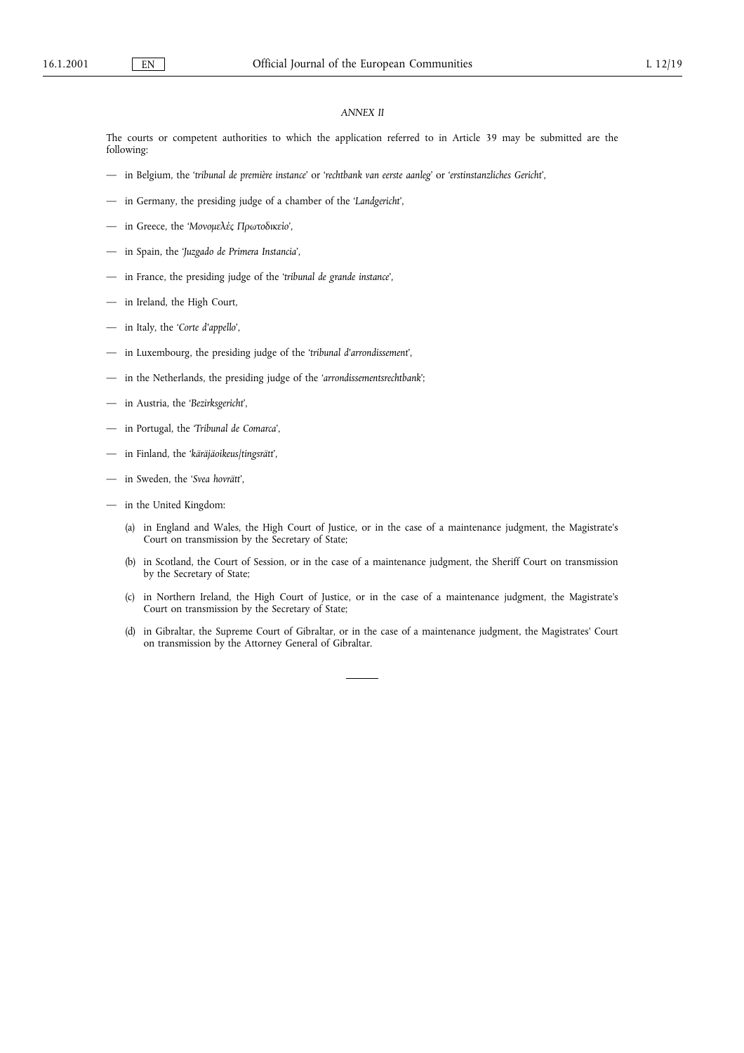# ANNEX II

The courts or competent authorities to which the application referred to in Article 39 may be submitted are the following:

- in Belgium, the 'tribunal de première instance' or 'rechtbank van eerste aanleg' or 'erstinstanzliches Gericht',
- in Germany, the presiding judge of a chamber of the 'Landgericht',
- $-$  in Greece, the 'Μονομελές Πρωτοδικείο',
- in Spain, the 'Juzgado de Primera Instancia',
- in France, the presiding judge of the 'tribunal de grande instance',
- in Ireland, the High Court,
- in Italy, the 'Corte d'appello',
- in Luxembourg, the presiding judge of the 'tribunal d'arrondissement',
- in the Netherlands, the presiding judge of the 'arrondissementsrechtbank';
- in Austria, the 'Bezirksgericht',
- in Portugal, the 'Tribunal de Comarca',
- in Finland, the 'käräjäoikeus/tingsrätt',
- in Sweden, the 'Svea hovrätt',
- in the United Kingdom:
	- (a) in England and Wales, the High Court of Justice, or in the case of a maintenance judgment, the Magistrate's Court on transmission by the Secretary of State;
	- (b) in Scotland, the Court of Session, or in the case of a maintenance judgment, the Sheriff Court on transmission by the Secretary of State;
	- (c) in Northern Ireland, the High Court of Justice, or in the case of a maintenance judgment, the Magistrate's Court on transmission by the Secretary of State;
	- (d) in Gibraltar, the Supreme Court of Gibraltar, or in the case of a maintenance judgment, the Magistrates' Court on transmission by the Attorney General of Gibraltar.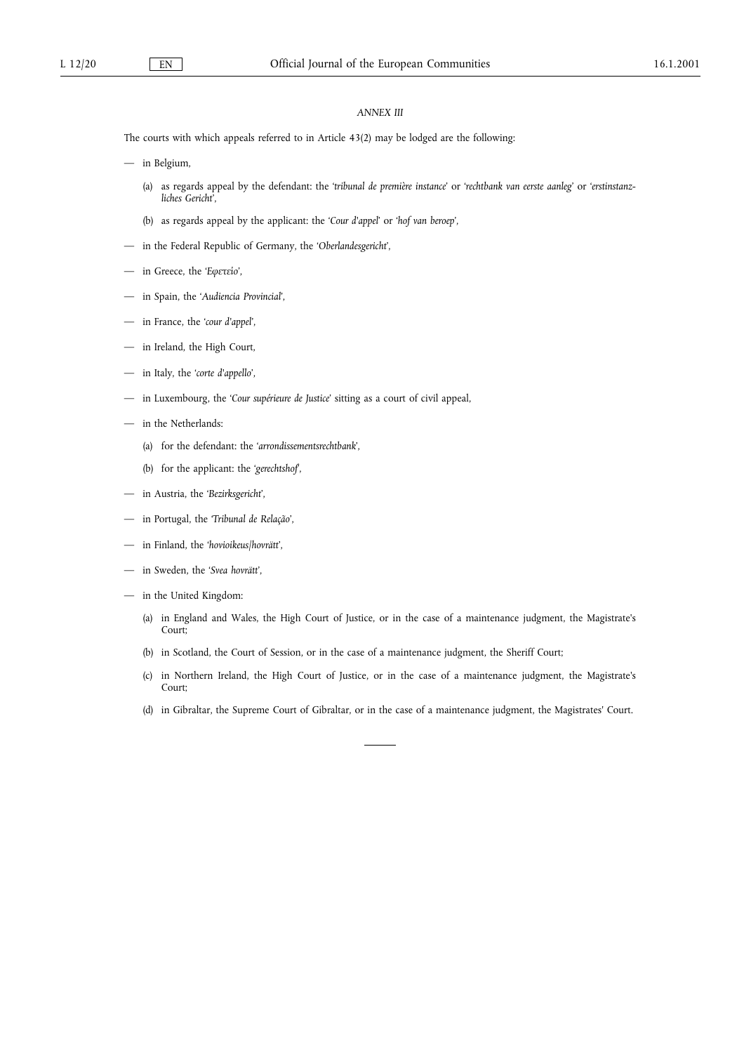# ANNEX III

The courts with which appeals referred to in Article 43(2) may be lodged are the following:

- in Belgium,
	- (a) as regards appeal by the defendant: the 'tribunal de première instance' or 'rechtbank van eerste aanleg' or 'erstinstanzliches Gericht<sup>7</sup>,
	- (b) as regards appeal by the applicant: the 'Cour d'appel' or 'hof van beroep',
- in the Federal Republic of Germany, the 'Oberlandesgericht',
- $-$  in Greece, the 'E $\varphi$ *e* $\tau$ *Eio*',
- in Spain, the 'Audiencia Provincial',
- in France, the 'cour d'appel',
- in Ireland, the High Court,
- $-$  in Italy, the 'corte d'appello',
- in Luxembourg, the 'Cour supérieure de Justice' sitting as a court of civil appeal,
- in the Netherlands:
	- (a) for the defendant: the 'arrondissementsrechtbank',
	- (b) for the applicant: the 'gerechtshof',
- in Austria, the 'Bezirksgericht',
- in Portugal, the 'Tribunal de Relação',
- in Finland, the 'hovioikeus/hovrätt',
- in Sweden, the 'Svea hovrätt',
- in the United Kingdom:
	- (a) in England and Wales, the High Court of Justice, or in the case of a maintenance judgment, the Magistrate's Court;
	- (b) in Scotland, the Court of Session, or in the case of a maintenance judgment, the Sheriff Court;
	- (c) in Northern Ireland, the High Court of Justice, or in the case of a maintenance judgment, the Magistrate's Court;
	- (d) in Gibraltar, the Supreme Court of Gibraltar, or in the case of a maintenance judgment, the Magistrates' Court.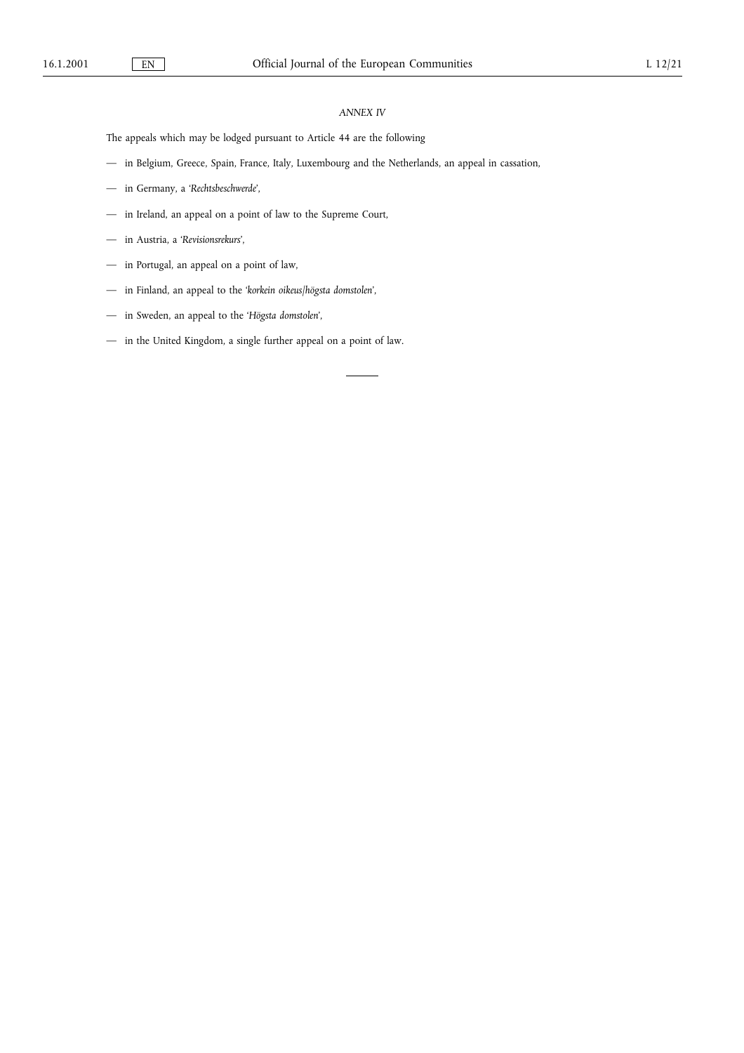# ANNEX IV

The appeals which may be lodged pursuant to Article 44 are the following

- in Belgium, Greece, Spain, France, Italy, Luxembourg and the Netherlands, an appeal in cassation,
- in Germany, a 'Rechtsbeschwerde',
- in Ireland, an appeal on a point of law to the Supreme Court,
- in Austria, a 'Revisionsrekurs',
- $-$  in Portugal, an appeal on a point of law,
- in Finland, an appeal to the 'korkein oikeus/högsta domstolen',
- in Sweden, an appeal to the 'Högsta domstolen',
- in the United Kingdom, a single further appeal on a point of law.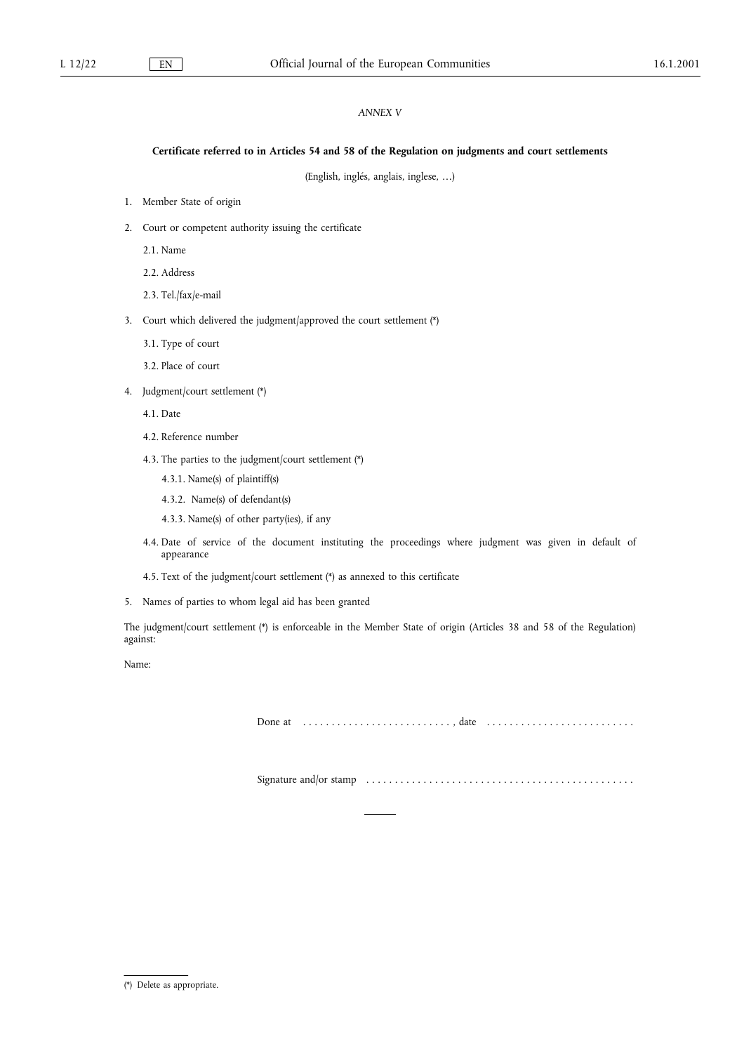# ANNEX V

# Certificate referred to in Articles 54 and 58 of the Regulation on judgments and court settlements

(English, inglés, anglais, inglese, ...)

- 1. Member State of origin
- 2. Court or competent authority issuing the certificate
	- 2.1. Name
	- 2.2. Address
	- 2.3. Tel./fax/e-mail
- 3. Court which delivered the judgment/approved the court settlement (\*)
	- 3.1. Type of court
	- 3.2. Place of court
- 4. Judgment/court settlement (\*)
	- 4.1. Date
	- 4.2. Reference number
	- 4.3. The parties to the judgment/court settlement (\*)
		- 4.3.1. Name(s) of plaintiff(s)
		- 4.3.2. Name(s) of defendant(s)
		- 4.3.3. Name(s) of other party(ies), if any
	- 4.4. Date of service of the document instituting the proceedings where judgment was given in default of appearance
	- 4.5. Text of the judgment/court settlement (\*) as annexed to this certificate
- 5. Names of parties to whom legal aid has been granted

The judgment/court settlement (\*) is enforceable in the Member State of origin (Articles 38 and 58 of the Regulation) against:

Name:

Done at .........................., date ..........................

Signature and/or stamp ...............................................

<sup>(\*)</sup> Delete as appropriate.